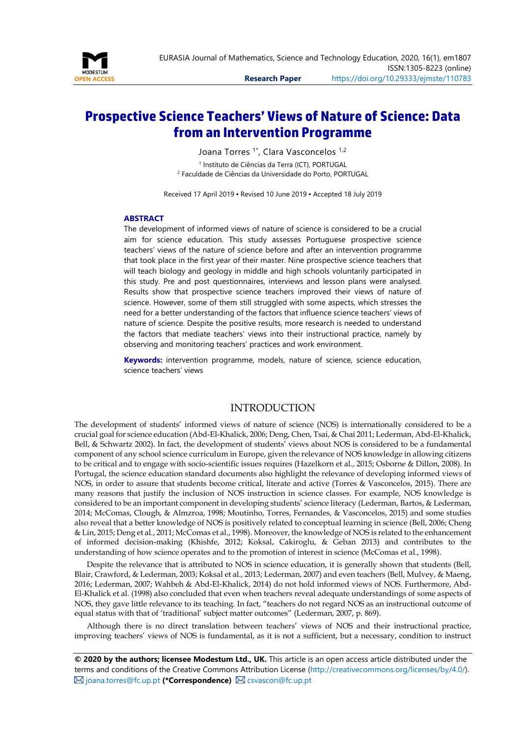

# **Prospective Science Teachers' Views of Nature of Science: Data from an Intervention Programme**

Joana Torres <sup>1\*</sup>, Clara Vasconcelos <sup>1,2</sup> <sup>1</sup> Instituto de Ciências da Terra (ICT), PORTUGAL <sup>2</sup> Faculdade de Ciências da Universidade do Porto, PORTUGAL

Received 17 April 2019 ▪ Revised 10 June 2019 ▪ Accepted 18 July 2019

#### **ABSTRACT**

The development of informed views of nature of science is considered to be a crucial aim for science education. This study assesses Portuguese prospective science teachers' views of the nature of science before and after an intervention programme that took place in the first year of their master. Nine prospective science teachers that will teach biology and geology in middle and high schools voluntarily participated in this study. Pre and post questionnaires, interviews and lesson plans were analysed. Results show that prospective science teachers improved their views of nature of science. However, some of them still struggled with some aspects, which stresses the need for a better understanding of the factors that influence science teachers' views of nature of science. Despite the positive results, more research is needed to understand the factors that mediate teachers' views into their instructional practice, namely by observing and monitoring teachers' practices and work environment.

**Keywords:** intervention programme, models, nature of science, science education, science teachers' views

### **INTRODUCTION**

The development of students' informed views of nature of science (NOS) is internationally considered to be a crucial goal for science education (Abd-El-Khalick, 2006; Deng, Chen, Tsai, & Chai 2011; Lederman, Abd-El-Khalick, Bell, & Schwartz 2002). In fact, the development of students' views about NOS is considered to be a fundamental component of any school science curriculum in Europe, given the relevance of NOS knowledge in allowing citizens to be critical and to engage with socio-scientific issues requires (Hazelkorn et al., 2015; Osborne & Dillon, 2008). In Portugal, the science education standard documents also highlight the relevance of developing informed views of NOS, in order to assure that students become critical, literate and active (Torres & Vasconcelos, 2015). There are many reasons that justify the inclusion of NOS instruction in science classes. For example, NOS knowledge is considered to be an important component in developing students' science literacy (Lederman, Bartos, & Lederman, 2014; McComas, Clough, & Almzroa, 1998; Moutinho, Torres, Fernandes, & Vasconcelos, 2015) and some studies also reveal that a better knowledge of NOS is positively related to conceptual learning in science (Bell, 2006; Cheng & Lin, 2015; Deng et al., 2011; McComas et al., 1998). Moreover, the knowledge of NOS is related to the enhancement of informed decision-making (Khishfe, 2012; Koksal, Cakiroglu, & Geban 2013) and contributes to the understanding of how science operates and to the promotion of interest in science (McComas et al., 1998).

Despite the relevance that is attributed to NOS in science education, it is generally shown that students (Bell, Blair, Crawford, & Lederman, 2003; Koksal et al., 2013; Lederman, 2007) and even teachers (Bell, Mulvey, & Maeng, 2016; Lederman, 2007; Wahbeh & Abd-El-Khalick, 2014) do not hold informed views of NOS. Furthermore, Abd-El-Khalick et al. (1998) also concluded that even when teachers reveal adequate understandings of some aspects of NOS, they gave little relevance to its teaching. In fact, "teachers do not regard NOS as an instructional outcome of equal status with that of 'traditional' subject matter outcomes" (Lederman, 2007, p. 869).

Although there is no direct translation between teachers' views of NOS and their instructional practice, improving teachers' views of NOS is fundamental, as it is not a sufficient, but a necessary, condition to instruct

**© 2020 by the authors; licensee Modestum Ltd., UK.** This article is an open access article distributed under the terms and conditions of the Creative Commons Attribution License [\(http://creativecommons.org/licenses/by/4.0/\)](http://creativecommons.org/licenses/by/4.0/).  $\boxtimes$  [joana.torres@fc.up.pt](mailto:joana.torres@fc.up.pt) (\*Correspondence)  $\boxtimes$  [csvascon@fc.up.pt](mailto:csvascon@fc.up.pt)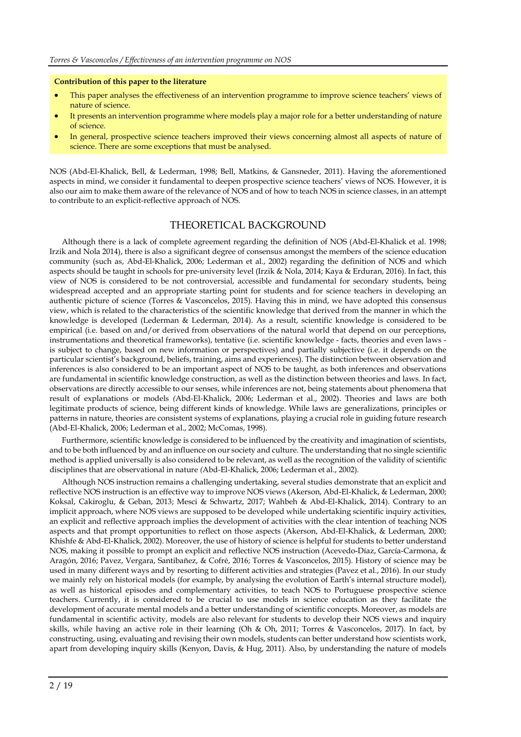#### **Contribution of this paper to the literature**

- This paper analyses the effectiveness of an intervention programme to improve science teachers' views of nature of science.
- It presents an intervention programme where models play a major role for a better understanding of nature of science.
- In general, prospective science teachers improved their views concerning almost all aspects of nature of science. There are some exceptions that must be analysed.

NOS (Abd-El-Khalick, Bell, & Lederman, 1998; Bell, Matkins, & Gansneder, 2011). Having the aforementioned aspects in mind, we consider it fundamental to deepen prospective science teachers' views of NOS. However, it is also our aim to make them aware of the relevance of NOS and of how to teach NOS in science classes, in an attempt to contribute to an explicit-reflective approach of NOS.

# THEORETICAL BACKGROUND

Although there is a lack of complete agreement regarding the definition of NOS (Abd-El-Khalick et al. 1998; Irzik and Nola 2014), there is also a significant degree of consensus amongst the members of the science education community (such as, Abd-El-Khalick, 2006; Lederman et al., 2002) regarding the definition of NOS and which aspects should be taught in schools for pre-university level (Irzik & Nola, 2014; Kaya & Erduran, 2016). In fact, this view of NOS is considered to be not controversial, accessible and fundamental for secondary students, being widespread accepted and an appropriate starting point for students and for science teachers in developing an authentic picture of science (Torres & Vasconcelos, 2015). Having this in mind, we have adopted this consensus view, which is related to the characteristics of the scientific knowledge that derived from the manner in which the knowledge is developed (Lederman & Lederman, 2014). As a result, scientific knowledge is considered to be empirical (i.e. based on and/or derived from observations of the natural world that depend on our perceptions, instrumentations and theoretical frameworks), tentative (i.e. scientific knowledge - facts, theories and even laws is subject to change, based on new information or perspectives) and partially subjective (i.e. it depends on the particular scientist's background, beliefs, training, aims and experiences). The distinction between observation and inferences is also considered to be an important aspect of NOS to be taught, as both inferences and observations are fundamental in scientific knowledge construction, as well as the distinction between theories and laws. In fact, observations are directly accessible to our senses, while inferences are not, being statements about phenomena that result of explanations or models *(*Abd*-*El*-*Khalick, 2006; Lederman et al., 2002). Theories and laws are both legitimate products of science, being different kinds of knowledge. While laws are generalizations, principles or patterns in nature, theories are consistent systems of explanations, playing a crucial role in guiding future research (Abd*-*El*-*Khalick, 2006; Lederman et al., 2002; McComas, 1998).

Furthermore, scientific knowledge is considered to be influenced by the creativity and imagination of scientists, and to be both influenced by and an influence on our society and culture. The understanding that no single scientific method is applied universally is also considered to be relevant, as well as the recognition of the validity of scientific disciplines that are observational in nature *(*Abd*-*El*-*Khalick, 2006; Lederman et al., 2002)*.*

Although NOS instruction remains a challenging undertaking, several studies demonstrate that an explicit and reflective NOS instruction is an effective way to improve NOS views (Akerson, Abd-El-Khalick, & Lederman, 2000; Koksal, Cakiroglu, & Geban, 2013; Mesci & Schwartz, 2017; Wahbeh & Abd-El-Khalick, 2014). Contrary to an implicit approach, where NOS views are supposed to be developed while undertaking scientific inquiry activities, an explicit and reflective approach implies the development of activities with the clear intention of teaching NOS aspects and that prompt opportunities to reflect on those aspects (Akerson, Abd-El-Khalick, & Lederman, 2000; Khishfe & Abd-El-Khalick, 2002). Moreover, the use of history of science is helpful for students to better understand NOS, making it possible to prompt an explicit and reflective NOS instruction (Acevedo-Díaz, García-Carmona, & Aragón, 2016; Pavez, Vergara, Santibañez, & Cofré, 2016; Torres & Vasconcelos, 2015). History of science may be used in many different ways and by resorting to different activities and strategies (Pavez et al., 2016). In our study we mainly rely on historical models (for example, by analysing the evolution of Earth's internal structure model), as well as historical episodes and complementary activities, to teach NOS to Portuguese prospective science teachers. Currently, it is considered to be crucial to use models in science education as they facilitate the development of accurate mental models and a better understanding of scientific concepts. Moreover, as models are fundamental in scientific activity, models are also relevant for students to develop their NOS views and inquiry skills, while having an active role in their learning (Oh & Oh, 2011; Torres & Vasconcelos, 2017). In fact, by constructing, using, evaluating and revising their own models, students can better understand how scientists work, apart from developing inquiry skills (Kenyon, Davis, & Hug, 2011). Also, by understanding the nature of models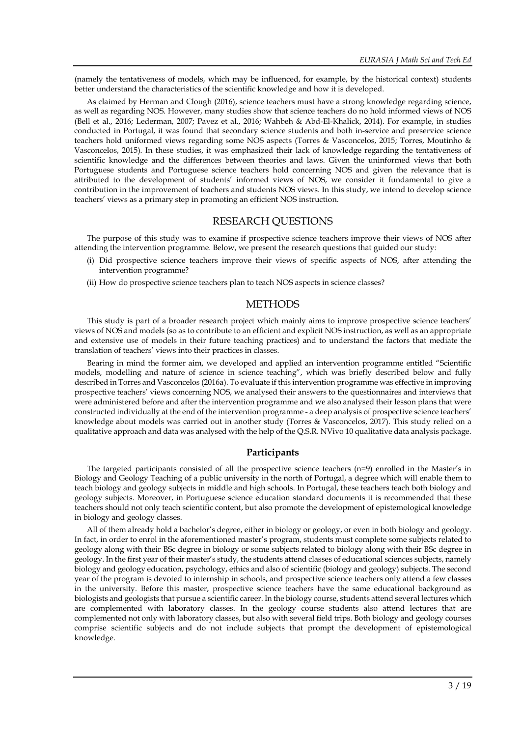(namely the tentativeness of models, which may be influenced, for example, by the historical context) students better understand the characteristics of the scientific knowledge and how it is developed.

As claimed by Herman and Clough (2016), science teachers must have a strong knowledge regarding science, as well as regarding NOS. However, many studies show that science teachers do no hold informed views of NOS (Bell et al., 2016; Lederman, 2007; Pavez et al., 2016; Wahbeh & Abd-El-Khalick, 2014). For example, in studies conducted in Portugal, it was found that secondary science students and both in-service and preservice science teachers hold uniformed views regarding some NOS aspects (Torres & Vasconcelos, 2015; Torres, Moutinho & Vasconcelos, 2015). In these studies, it was emphasized their lack of knowledge regarding the tentativeness of scientific knowledge and the differences between theories and laws. Given the uninformed views that both Portuguese students and Portuguese science teachers hold concerning NOS and given the relevance that is attributed to the development of students' informed views of NOS, we consider it fundamental to give a contribution in the improvement of teachers and students NOS views. In this study, we intend to develop science teachers' views as a primary step in promoting an efficient NOS instruction.

#### RESEARCH QUESTIONS

The purpose of this study was to examine if prospective science teachers improve their views of NOS after attending the intervention programme. Below, we present the research questions that guided our study:

- (i) Did prospective science teachers improve their views of specific aspects of NOS, after attending the intervention programme?
- (ii) How do prospective science teachers plan to teach NOS aspects in science classes?

### **METHODS**

This study is part of a broader research project which mainly aims to improve prospective science teachers' views of NOS and models (so as to contribute to an efficient and explicit NOS instruction, as well as an appropriate and extensive use of models in their future teaching practices) and to understand the factors that mediate the translation of teachers' views into their practices in classes.

Bearing in mind the former aim, we developed and applied an intervention programme entitled "Scientific models, modelling and nature of science in science teaching", which was briefly described below and fully described in Torres and Vasconcelos (2016a). To evaluate if this intervention programme was effective in improving prospective teachers' views concerning NOS, we analysed their answers to the questionnaires and interviews that were administered before and after the intervention programme and we also analysed their lesson plans that were constructed individually at the end of the intervention programme - a deep analysis of prospective science teachers' knowledge about models was carried out in another study (Torres & Vasconcelos, 2017). This study relied on a qualitative approach and data was analysed with the help of the Q.S.R. NVivo 10 qualitative data analysis package.

#### **Participants**

The targeted participants consisted of all the prospective science teachers (n=9) enrolled in the Master's in Biology and Geology Teaching of a public university in the north of Portugal, a degree which will enable them to teach biology and geology subjects in middle and high schools. In Portugal, these teachers teach both biology and geology subjects. Moreover, in Portuguese science education standard documents it is recommended that these teachers should not only teach scientific content, but also promote the development of epistemological knowledge in biology and geology classes.

All of them already hold a bachelor's degree, either in biology or geology, or even in both biology and geology. In fact, in order to enrol in the aforementioned master's program, students must complete some subjects related to geology along with their BSc degree in biology or some subjects related to biology along with their BSc degree in geology. In the first year of their master's study, the students attend classes of educational sciences subjects, namely biology and geology education, psychology, ethics and also of scientific (biology and geology) subjects. The second year of the program is devoted to internship in schools, and prospective science teachers only attend a few classes in the university. Before this master, prospective science teachers have the same educational background as biologists and geologists that pursue a scientific career. In the biology course, students attend several lectures which are complemented with laboratory classes. In the geology course students also attend lectures that are complemented not only with laboratory classes, but also with several field trips. Both biology and geology courses comprise scientific subjects and do not include subjects that prompt the development of epistemological knowledge.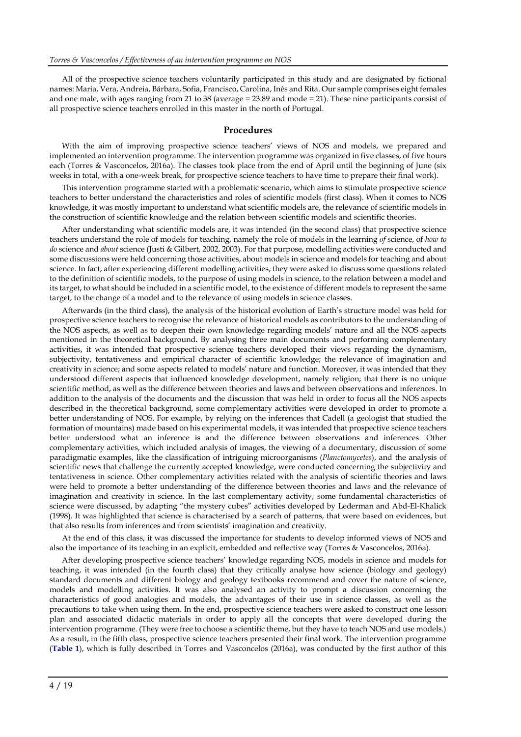All of the prospective science teachers voluntarily participated in this study and are designated by fictional names: Maria, Vera, Andreia, Bárbara, Sofia, Francisco, Carolina, Inês and Rita. Our sample comprises eight females and one male, with ages ranging from 21 to 38 (average = 23.89 and mode = 21). These nine participants consist of all prospective science teachers enrolled in this master in the north of Portugal.

#### **Procedures**

With the aim of improving prospective science teachers' views of NOS and models, we prepared and implemented an intervention programme. The intervention programme was organized in five classes, of five hours each (Torres & Vasconcelos, 2016a). The classes took place from the end of April until the beginning of June (six weeks in total, with a one-week break, for prospective science teachers to have time to prepare their final work).

This intervention programme started with a problematic scenario, which aims to stimulate prospective science teachers to better understand the characteristics and roles of scientific models (first class). When it comes to NOS knowledge, it was mostly important to understand what scientific models are, the relevance of scientific models in the construction of scientific knowledge and the relation between scientific models and scientific theories.

After understanding what scientific models are, it was intended (in the second class) that prospective science teachers understand the role of models for teaching, namely the role of models in the learning *of* science, of *how to do* science and *about* science (Justi & Gilbert, 2002, 2003). For that purpose, modelling activities were conducted and some discussions were held concerning those activities, about models in science and models for teaching and about science. In fact, after experiencing different modelling activities, they were asked to discuss some questions related to the definition of scientific models, to the purpose of using models in science, to the relation between a model and its target, to what should be included in a scientific model, to the existence of different models to represent the same target, to the change of a model and to the relevance of using models in science classes.

Afterwards (in the third class), the analysis of the historical evolution of Earth's structure model was held for prospective science teachers to recognise the relevance of historical models as contributors to the understanding of the NOS aspects, as well as to deepen their own knowledge regarding models' nature and all the NOS aspects mentioned in the theoretical background**.** By analysing three main documents and performing complementary activities, it was intended that prospective science teachers developed their views regarding the dynamism, subjectivity, tentativeness and empirical character of scientific knowledge; the relevance of imagination and creativity in science; and some aspects related to models' nature and function. Moreover, it was intended that they understood different aspects that influenced knowledge development, namely religion; that there is no unique scientific method, as well as the difference between theories and laws and between observations and inferences. In addition to the analysis of the documents and the discussion that was held in order to focus all the NOS aspects described in the theoretical background, some complementary activities were developed in order to promote a better understanding of NOS. For example, by relying on the inferences that Cadell (a geologist that studied the formation of mountains) made based on his experimental models, it was intended that prospective science teachers better understood what an inference is and the difference between observations and inferences. Other complementary activities, which included analysis of images, the viewing of a documentary, discussion of some paradigmatic examples, like the classification of intriguing microorganisms (*Planctomycetes*), and the analysis of scientific news that challenge the currently accepted knowledge, were conducted concerning the subjectivity and tentativeness in science. Other complementary activities related with the analysis of scientific theories and laws were held to promote a better understanding of the difference between theories and laws and the relevance of imagination and creativity in science. In the last complementary activity, some fundamental characteristics of science were discussed, by adapting "the mystery cubes" activities developed by Lederman and Abd-El-Khalick (1998). It was highlighted that science is characterised by a search of patterns, that were based on evidences, but that also results from inferences and from scientists' imagination and creativity.

At the end of this class, it was discussed the importance for students to develop informed views of NOS and also the importance of its teaching in an explicit, embedded and reflective way (Torres & Vasconcelos, 2016a).

After developing prospective science teachers' knowledge regarding NOS, models in science and models for teaching, it was intended (in the fourth class) that they critically analyse how science (biology and geology) standard documents and different biology and geology textbooks recommend and cover the nature of science, models and modelling activities. It was also analysed an activity to prompt a discussion concerning the characteristics of good analogies and models, the advantages of their use in science classes, as well as the precautions to take when using them. In the end, prospective science teachers were asked to construct one lesson plan and associated didactic materials in order to apply all the concepts that were developed during the intervention programme. (They were free to choose a scientific theme, but they have to teach NOS and use models.) As a result, in the fifth class, prospective science teachers presented their final work. The intervention programme (**Table 1**), which is fully described in Torres and Vasconcelos (2016a), was conducted by the first author of this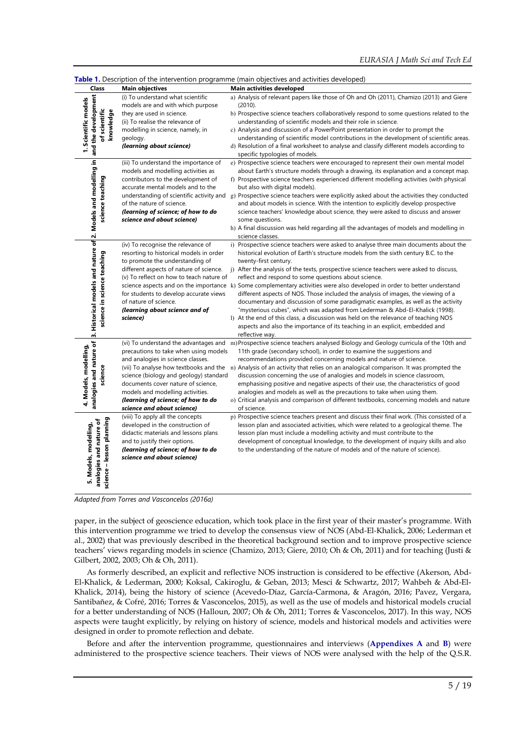|                                                                                                                  |                                                                                                                                                                                                                                                                                                                          | Table 1. Description of the intervention programme (main objectives and activities developed)                                                                                                                                                                                                                                                                                                                                                                                                                                                                                                                                                                                                                                                                                                                                                                                                                                           |
|------------------------------------------------------------------------------------------------------------------|--------------------------------------------------------------------------------------------------------------------------------------------------------------------------------------------------------------------------------------------------------------------------------------------------------------------------|-----------------------------------------------------------------------------------------------------------------------------------------------------------------------------------------------------------------------------------------------------------------------------------------------------------------------------------------------------------------------------------------------------------------------------------------------------------------------------------------------------------------------------------------------------------------------------------------------------------------------------------------------------------------------------------------------------------------------------------------------------------------------------------------------------------------------------------------------------------------------------------------------------------------------------------------|
| Class                                                                                                            | <b>Main objectives</b>                                                                                                                                                                                                                                                                                                   | <b>Main activities developed</b>                                                                                                                                                                                                                                                                                                                                                                                                                                                                                                                                                                                                                                                                                                                                                                                                                                                                                                        |
| 1. Scientific models<br>of scientific<br>knowledge                                                               | (i) To understand what scientific<br>models are and with which purpose<br>they are used in science.<br>(ii) To realise the relevance of<br>modelling in science, namely, in<br>geology.<br>(learning about science)                                                                                                      | a) Analysis of relevant papers like those of Oh and Oh (2011), Chamizo (2013) and Giere<br>(2010).<br>b) Prospective science teachers collaboratively respond to some questions related to the<br>understanding of scientific models and their role in science.<br>c) Analysis and discussion of a PowerPoint presentation in order to prompt the<br>understanding of scientific model contributions in the development of scientific areas.<br>d) Resolution of a final worksheet to analyse and classify different models according to<br>specific typologies of models.                                                                                                                                                                                                                                                                                                                                                              |
| science teaching                                                                                                 | (iii) To understand the importance of<br>models and modelling activities as<br>contributors to the development of<br>accurate mental models and to the<br>of the nature of science.<br>(learning of science; of how to do<br>science and about science)                                                                  | e) Prospective science teachers were encouraged to represent their own mental model<br>about Earth's structure models through a drawing, its explanation and a concept map.<br>f) Prospective science teachers experienced different modelling activities (with physical<br>but also with digital models).<br>understanding of scientific activity and g) Prospective science teachers were explicitly asked about the activities they conducted<br>and about models in science. With the intention to explicitly develop prospective<br>science teachers' knowledge about science, they were asked to discuss and answer<br>some questions.<br>h) A final discussion was held regarding all the advantages of models and modelling in<br>science classes.                                                                                                                                                                              |
| 3. Historical models and nature of 2. Models and modelling in and the development<br>science in science teaching | (iv) To recognise the relevance of<br>resorting to historical models in order<br>to promote the understanding of<br>different aspects of nature of science.<br>(v) To reflect on how to teach nature of<br>for students to develop accurate views<br>of nature of science.<br>(learning about science and of<br>science) | i) Prospective science teachers were asked to analyse three main documents about the<br>historical evolution of Earth's structure models from the sixth century B.C. to the<br>twenty-first century.<br>j) After the analysis of the texts, prospective science teachers were asked to discuss,<br>reflect and respond to some questions about science.<br>science aspects and on the importance k) Some complementary activities were also developed in order to better understand<br>different aspects of NOS. Those included the analysis of images, the viewing of a<br>documentary and discussion of some paradigmatic examples, as well as the activity<br>"mysterious cubes", which was adapted from Lederman & Abd-El-Khalick (1998).<br>I) At the end of this class, a discussion was held on the relevance of teaching NOS<br>aspects and also the importance of its teaching in an explicit, embedded and<br>reflective way. |
| analogies and nature of<br>4. Models, modelling,<br>science                                                      | precautions to take when using models<br>and analogies in science classes.<br>science (biology and geology) standard<br>documents cover nature of science,<br>models and modelling activities.<br>(learning of science; of how to do<br>science and about science)                                                       | (vi) To understand the advantages and m)Prospective science teachers analysed Biology and Geology curricula of the 10th and<br>11th grade (secondary school), in order to examine the suggestions and<br>recommendations provided concerning models and nature of science.<br>(vii) To analyse how textbooks and the n) Analysis of an activity that relies on an analogical comparison. It was prompted the<br>discussion concerning the use of analogies and models in science classroom,<br>emphasising positive and negative aspects of their use, the characteristics of good<br>analogies and models as well as the precautions to take when using them.<br>o) Critical analysis and comparison of different textbooks, concerning models and nature<br>of science.                                                                                                                                                               |
| science - lesson planning<br>analogies and nature of<br>5. Models, modelling,                                    | (viii) To apply all the concepts<br>developed in the construction of<br>didactic materials and lessons plans<br>and to justify their options.<br>(learning of science; of how to do<br>science and about science)                                                                                                        | p) Prospective science teachers present and discuss their final work. (This consisted of a<br>lesson plan and associated activities, which were related to a geological theme. The<br>lesson plan must include a modelling activity and must contribute to the<br>development of conceptual knowledge, to the development of inquiry skills and also<br>to the understanding of the nature of models and of the nature of science).                                                                                                                                                                                                                                                                                                                                                                                                                                                                                                     |

*Adapted from Torres and Vasconcelos (2016a)*

paper, in the subject of geoscience education, which took place in the first year of their master's programme. With this intervention programme we tried to develop the consensus view of NOS (Abd*-*El*-*Khalick, 2006; Lederman et al., 2002) that was previously described in the theoretical background section and to improve prospective science teachers' views regarding models in science (Chamizo, 2013; Giere, 2010; Oh & Oh, 2011) and for teaching (Justi & Gilbert, 2002, 2003; Oh & Oh, 2011).

As formerly described, an explicit and reflective NOS instruction is considered to be effective (Akerson, Abd-El-Khalick, & Lederman, 2000; Koksal, Cakiroglu, & Geban, 2013; Mesci & Schwartz, 2017; Wahbeh & Abd-El-Khalick, 2014), being the history of science (Acevedo-Díaz, García-Carmona, & Aragón, 2016; Pavez, Vergara, Santibañez, & Cofré, 2016; Torres & Vasconcelos, 2015), as well as the use of models and historical models crucial for a better understanding of NOS (Halloun, 2007; Oh & Oh, 2011; Torres & Vasconcelos, 2017). In this way, NOS aspects were taught explicitly, by relying on history of science, models and historical models and activities were designed in order to promote reflection and debate.

Before and after the intervention programme, questionnaires and interviews (**Appendixes A** and **B**) were administered to the prospective science teachers. Their views of NOS were analysed with the help of the Q.S.R.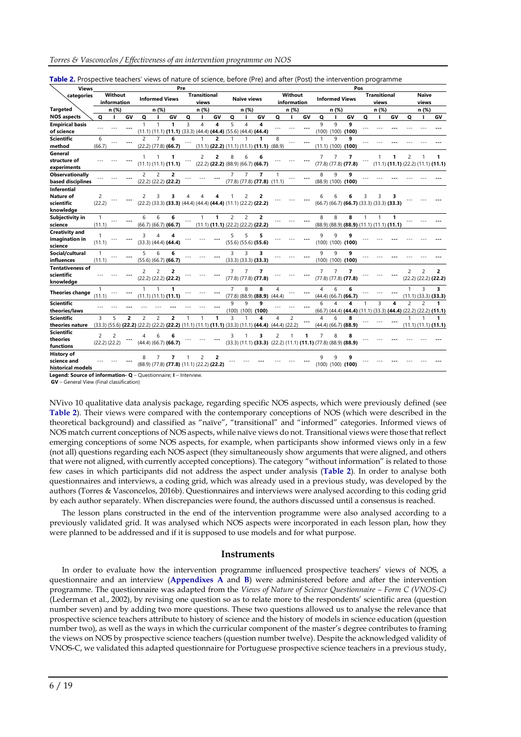| <b>Views</b>                                               |                        |                        |                |                |                       |                                                        | Pre                     |                              |    |                |                    |                                                                                                                  |                        |                        |    |                         |       |                                                                     | Pos |                              |                                              |                |                       |                                              |
|------------------------------------------------------------|------------------------|------------------------|----------------|----------------|-----------------------|--------------------------------------------------------|-------------------------|------------------------------|----|----------------|--------------------|------------------------------------------------------------------------------------------------------------------|------------------------|------------------------|----|-------------------------|-------|---------------------------------------------------------------------|-----|------------------------------|----------------------------------------------|----------------|-----------------------|----------------------------------------------|
| categories                                                 |                        | Without<br>information |                |                | <b>Informed Views</b> |                                                        |                         | <b>Transitional</b><br>views |    |                | <b>Naïve views</b> |                                                                                                                  |                        | Without<br>information |    |                         |       | <b>Informed Views</b>                                               |     | <b>Transitional</b><br>views |                                              |                | <b>Naïve</b><br>views |                                              |
| <b>Targeted</b>                                            |                        | n (%)                  |                |                | n (%)                 |                                                        |                         | n (%)                        |    |                | n (%)              |                                                                                                                  |                        | n (%)                  |    |                         | n (%) |                                                                     |     | n (%)                        |                                              |                | n (%)                 |                                              |
| <b>NOS aspects</b>                                         | o                      | п                      | GV             | o              |                       | GV                                                     | Q                       |                              | GV | Q              |                    | GV                                                                                                               | o                      |                        | GV | Q                       |       | GV                                                                  | o   |                              | GV                                           | o              | п                     | GV                                           |
| <b>Empirical basis</b><br>of science                       |                        |                        |                | $\mathbf{1}$   |                       | 1                                                      | $\overline{\mathbf{3}}$ | 4                            | 4  | 5              | 4                  | 4<br>$(11.1)$ $(11.1)$ $(11.1)$ $(33.3)$ $(44.4)$ $(44.4)$ $(55.6)$ $(44.4)$ $(44.4)$                            |                        |                        |    | $\mathsf{q}$            | 9     | q<br>$(100)$ $(100)$ $(100)$                                        |     |                              |                                              |                |                       |                                              |
| <b>Scientific</b><br>method                                | 6<br>(66.7)            |                        |                | 2              | $\overline{7}$        | 6<br>$(22.2)$ $(77.8)$ $(66.7)$                        |                         |                              | 2  |                |                    | $(11.1)$ $(22.2)$ $(11.1)$ $(11.1)$ $(11.1)$                                                                     | 8<br>(88.9)            |                        |    | (11.1)                  | 9     | 9<br>$(100)$ (100)                                                  |     |                              |                                              |                |                       |                                              |
| General<br>structure of<br>experiments                     |                        |                        |                |                |                       | (11.1) (11.1) (11.1)                                   |                         | $\mathcal{P}$                | 2  | g              | ĥ                  | $(22.2)$ (22.2) $(88.9)$ $(66.7)$ (66.7)                                                                         |                        |                        |    | $\overline{7}$          | 7     | 7<br>$(77.8)$ $(77.8)$ $(77.8)$                                     |     |                              | $(11.1)$ $(11.1)$ $(22.2)$ $(11.1)$ $(11.1)$ | $\overline{c}$ |                       |                                              |
| <b>Observationally</b><br>based disciplines                |                        |                        |                | $\overline{c}$ | $\overline{c}$        | $\overline{2}$<br>$(22.2)$ $(22.2)$ $(22.2)$           |                         |                              |    | $\overline{7}$ | $\overline{7}$     | $\overline{7}$<br>$(77.8)$ $(77.8)$ $(77.8)$ $(11.1)$                                                            |                        |                        |    | 8                       | 9     | 9<br>$(88.9)$ $(100)$ $(100)$                                       |     |                              |                                              |                |                       |                                              |
| <b>Inferential</b><br>Nature of<br>scientific<br>knowledge | 2<br>(22.2)            |                        |                | 2              | 3                     |                                                        |                         |                              |    |                | 2                  | (22.2) (33.3) (33.3) (44.4) (44.4) (44.4) (11.1) (22.2) (22.2)                                                   |                        |                        |    | 6                       |       | $(66.7)$ $(66.7)$ $(66.7)$ $(33.3)$ $(33.3)$ $(33.3)$               | 3   | 3                            |                                              |                |                       |                                              |
| Subjectivity in<br>science                                 | $\mathbf{1}$<br>(11.1) |                        |                | 6              | 6                     | 6<br>$(66.7)$ $(66.7)$ $(66.7)$                        |                         |                              | 1  | $\overline{2}$ | $\overline{c}$     | $\overline{2}$<br>$(11.1)$ $(11.1)$ $(22.2)$ $(22.2)$ $(22.2)$                                                   |                        |                        |    | 8                       | 8     | 8<br>(88.9) (88.9) (88.9) (11.1) (11.1) (11.1)                      |     |                              | 1                                            |                |                       |                                              |
| <b>Creativity and</b><br>imagination in<br>science         | 1<br>(11.1)            |                        |                |                | 4                     | 4<br>$(33.3)$ $(44.4)$ $(44.4)$                        |                         |                              |    | 5              | 5                  | 5<br>$(55.6)$ $(55.6)$ $(55.6)$                                                                                  |                        |                        |    | 9                       | 9     | 9<br>$(100)$ $(100)$ $(100)$                                        |     |                              |                                              |                |                       |                                              |
| Social/cultural<br>influences                              | 1<br>(11.1)            |                        |                | 5              | 6                     | 6<br>$(55.6)$ $(66.7)$ $(66.7)$                        |                         |                              |    | 3              | 3                  | 3<br>$(33.3)$ $(33.3)$ $(33.3)$                                                                                  |                        |                        |    | 9                       | 9     | 9<br>$(100)$ $(100)$ $(100)$                                        |     |                              |                                              |                |                       |                                              |
| <b>Tentativeness of</b><br>scientific<br>knowledge         |                        |                        |                | 2              | $\overline{c}$        | $\overline{\phantom{a}}$<br>$(22.2)$ $(22.2)$ $(22.2)$ |                         |                              |    | 7              |                    | 7<br>$(77.8)$ $(77.8)$ $(77.8)$                                                                                  |                        |                        |    | 7                       | 7     | $\overline{7}$<br>$(77.8)$ $(77.8)$ $(77.8)$                        |     |                              |                                              | $\overline{c}$ | $\overline{c}$        | $\overline{2}$<br>$(22.2)$ $(22.2)$ $(22.2)$ |
| <b>Theories change</b>                                     | $\mathbf{1}$<br>(11.1) |                        |                |                | $\mathbf{1}$          | 1<br>(11.1) (11.1) (11.1)                              |                         |                              |    | $\overline{7}$ | 8                  | 8<br>$(77.8)$ $(88.9)$ $(88.9)$ $(44.4)$                                                                         | 4                      |                        |    | 4                       | 6     | 6<br>$(44.4)$ $(66.7)$ $(66.7)$                                     |     |                              |                                              | $\mathbf{1}$   | 3                     | 3<br>$(11.1)$ $(33.3)$ $(33.3)$              |
| <b>Scientific</b><br>theories/laws                         |                        |                        |                |                |                       |                                                        |                         |                              |    | 9              | 9                  | q<br>$(100)$ $(100)$ $(100)$                                                                                     |                        |                        |    | 6                       | Δ     | 4<br>(66.7) (44.4) (44.4) (11.1) (33.3) (44.4) (22.2) (22.2) (11.1) | 1   | 3                            | 4                                            | $\overline{c}$ | $\overline{c}$        | 1                                            |
| Scientific<br>theories nature                              | 3                      | 5                      | $\overline{2}$ | $\overline{c}$ | $\overline{2}$        | $\overline{2}$                                         | 1                       |                              | 1  | 3              |                    | 4<br>$(33.3)$ $(55.6)$ $(22.2)$ $(22.2)$ $(22.2)$ $(22.2)$ $(11.1)$ $(11.1)$ $(11.1)$ $(33.3)$ $(11.1)$ $(44.4)$ | 4<br>$(44.4)$ $(22.2)$ | $\overline{c}$         |    | $\overline{\mathbf{A}}$ | 6     | 8<br>$(44.4)$ $(66.7)$ $(88.9)$                                     |     |                              |                                              |                |                       | $(11.1)$ $(11.1)$ $(11.1)$                   |
| <b>Scientific</b><br>theories<br>functions                 | 2                      | 2<br>(22.2) (22.2)     |                | 4              | 6                     | 6<br>$(44.4)$ $(66.7)$ $(66.7)$                        |                         |                              |    | ς              |                    | 3<br>$(33.3)$ $(11.1)$ $(33.3)$ $(22.2)$ $(11.1)$ $(11.1)$ $(77.8)$ $(88.9)$ $(88.9)$                            | $\overline{c}$         |                        | 1  | $\overline{7}$          | 8     | 8                                                                   |     |                              |                                              |                |                       |                                              |
| <b>History of</b><br>science and<br>historical models      |                        |                        |                |                |                       | (88.9) (77.8) (77.8) (11.1) (22.2) (22.2)              |                         |                              | 2  |                |                    |                                                                                                                  |                        |                        |    | q                       |       | 9<br>$(100)$ $(100)$ $(100)$                                        |     |                              |                                              |                |                       |                                              |

**Table 2.** Prospective teachers' views of nature of science, before (Pre) and after (Post) the intervention programme

**Legend: Source of information- Q** – Questionnaire; **I** – Interview.

**GV** – General View (Final classification)

NVivo 10 qualitative data analysis package, regarding specific NOS aspects, which were previously defined (see **Table 2**). Their views were compared with the contemporary conceptions of NOS (which were described in the theoretical background) and classified as "naïve", "transitional" and "informed" categories. Informed views of NOS match current conceptions of NOS aspects, while naïve views do not. Transitional views were those thatreflect emerging conceptions of some NOS aspects, for example, when participants show informed views only in a few (not all) questions regarding each NOS aspect (they simultaneously show arguments that were aligned, and others that were not aligned, with currently accepted conceptions). The category "without information" is related to those few cases in which participants did not address the aspect under analysis (**Table 2**). In order to analyse both questionnaires and interviews, a coding grid, which was already used in a previous study, was developed by the authors (Torres & Vasconcelos, 2016b). Questionnaires and interviews were analysed according to this coding grid by each author separately. When discrepancies were found, the authors discussed until a consensus is reached.

The lesson plans constructed in the end of the intervention programme were also analysed according to a previously validated grid. It was analysed which NOS aspects were incorporated in each lesson plan, how they were planned to be addressed and if it is supposed to use models and for what purpose.

#### **Instruments**

In order to evaluate how the intervention programme influenced prospective teachers' views of NOS, a questionnaire and an interview (**Appendixes A** and **B**) were administered before and after the intervention programme. The questionnaire was adapted from the *Views of Nature of Science Questionnaire – Form C (VNOS-C)* (Lederman et al., 2002), by revising one question so as to relate more to the respondents' scientific area (question number seven) and by adding two more questions. These two questions allowed us to analyse the relevance that prospective science teachers attribute to history of science and the history of models in science education (question number two), as well as the ways in which the curricular component of the master's degree contributes to framing the views on NOS by prospective science teachers (question number twelve). Despite the acknowledged validity of VNOS-C, we validated this adapted questionnaire for Portuguese prospective science teachers in a previous study,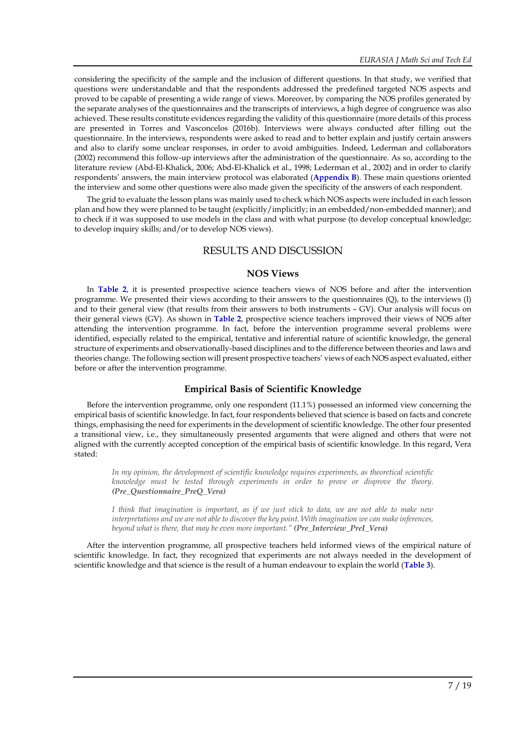considering the specificity of the sample and the inclusion of different questions. In that study, we verified that questions were understandable and that the respondents addressed the predefined targeted NOS aspects and proved to be capable of presenting a wide range of views. Moreover, by comparing the NOS profiles generated by the separate analyses of the questionnaires and the transcripts of interviews, a high degree of congruence was also achieved. These results constitute evidences regarding the validity of this questionnaire (more details of this process are presented in Torres and Vasconcelos (2016b). Interviews were always conducted after filling out the questionnaire. In the interviews, respondents were asked to read and to better explain and justify certain answers and also to clarify some unclear responses, in order to avoid ambiguities. Indeed, Lederman and collaborators (2002) recommend this follow-up interviews after the administration of the questionnaire. As so, according to the literature review (Abd-El-Khalick, 2006; Abd-El-Khalick et al., 1998; Lederman et al., 2002) and in order to clarify respondents' answers, the main interview protocol was elaborated (**Appendix B**). These main questions oriented the interview and some other questions were also made given the specificity of the answers of each respondent.

The grid to evaluate the lesson plans was mainly used to check which NOS aspects were included in each lesson plan and how they were planned to be taught (explicitly/implicitly; in an embedded/non-embedded manner); and to check if it was supposed to use models in the class and with what purpose (to develop conceptual knowledge; to develop inquiry skills; and/or to develop NOS views).

### RESULTS AND DISCUSSION

### **NOS Views**

In **Table 2**, it is presented prospective science teachers views of NOS before and after the intervention programme. We presented their views according to their answers to the questionnaires (Q), to the interviews (I) and to their general view (that results from their answers to both instruments – GV). Our analysis will focus on their general views (GV). As shown in **Table 2**, prospective science teachers improved their views of NOS after attending the intervention programme. In fact, before the intervention programme several problems were identified, especially related to the empirical, tentative and inferential nature of scientific knowledge, the general structure of experiments and observationally-based disciplines and to the difference between theories and laws and theories change. The following section will present prospective teachers' views of each NOS aspect evaluated, either before or after the intervention programme.

### **Empirical Basis of Scientific Knowledge**

Before the intervention programme, only one respondent (11.1%) possessed an informed view concerning the empirical basis of scientific knowledge. In fact, four respondents believed that science is based on facts and concrete things, emphasising the need for experiments in the development of scientific knowledge. The other four presented a transitional view, i.e., they simultaneously presented arguments that were aligned and others that were not aligned with the currently accepted conception of the empirical basis of scientific knowledge. In this regard, Vera stated:

*In my opinion, the development of scientific knowledge requires experiments, as theoretical scientific knowledge must be tested through experiments in order to prove or disprove the theory. (Pre\_Questionnaire\_PreQ\_Vera)*

I think that imagination is important, as if we just stick to data, we are not able to make new *interpretations and we are not able to discover the key point. With imagination we can make inferences, beyond what is there, that may be even more important." (Pre\_Interview\_PreI\_Vera)*

After the intervention programme, all prospective teachers held informed views of the empirical nature of scientific knowledge. In fact, they recognized that experiments are not always needed in the development of scientific knowledge and that science is the result of a human endeavour to explain the world (**Table 3**).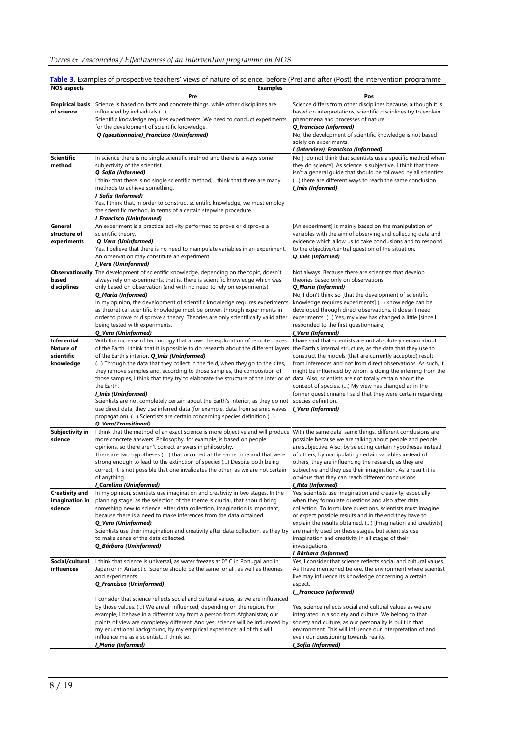|                    | Table 3. Examples of prospective teachers' views of nature of science, before (Pre) and after (Post) the intervention programme |
|--------------------|---------------------------------------------------------------------------------------------------------------------------------|
| <b>NOS aspects</b> | Examples                                                                                                                        |

| nos aspects                                                | елангрісэ<br>Pre                                                                                                                                                                                                                                                                                                                                                                                                                                                                                                                                                                                                                                                                                                                                                                                                                                                                                                                                              | Pos                                                                                                                                                                                                                                                                                                                                                                                                                                                                                                                                             |  |  |  |  |
|------------------------------------------------------------|---------------------------------------------------------------------------------------------------------------------------------------------------------------------------------------------------------------------------------------------------------------------------------------------------------------------------------------------------------------------------------------------------------------------------------------------------------------------------------------------------------------------------------------------------------------------------------------------------------------------------------------------------------------------------------------------------------------------------------------------------------------------------------------------------------------------------------------------------------------------------------------------------------------------------------------------------------------|-------------------------------------------------------------------------------------------------------------------------------------------------------------------------------------------------------------------------------------------------------------------------------------------------------------------------------------------------------------------------------------------------------------------------------------------------------------------------------------------------------------------------------------------------|--|--|--|--|
| <b>Empirical basis</b><br>of science                       | Science is based on facts and concrete things, while other disciplines are<br>influenced by individuals ().<br>Scientific knowledge requires experiments. We need to conduct experiments<br>for the development of scientific knowledge.<br>Q (questionnaire)_Francisco (Uninformed)                                                                                                                                                                                                                                                                                                                                                                                                                                                                                                                                                                                                                                                                          | Science differs from other disciplines because, although it is<br>based on interpretations, scientific disciplines try to explain<br>phenomena and processes of nature.<br>Q_Francisco (Informed)<br>No, the development of scientific knowledge is not based<br>solely on experiments.<br>I (interview)_Francisco (Informed)                                                                                                                                                                                                                   |  |  |  |  |
| <b>Scientific</b><br>method                                | In science there is no single scientific method and there is always some<br>subjectivity of the scientist.<br>Q_Sofia (Informed)<br>I think that there is no single scientific method; I think that there are many<br>methods to achieve something.<br>I_Sofia (Informed)<br>Yes, I think that, in order to construct scientific knowledge, we must employ<br>the scientific method, in terms of a certain stepwise procedure<br>I_Francisco (Uninformed)                                                                                                                                                                                                                                                                                                                                                                                                                                                                                                     | No [I do not think that scientists use a specific method when<br>they do science]. As science is subjective, I think that there<br>isn't a general guide that should be followed by all scientists<br>() there are different ways to reach the same conclusion<br>l_Inês (Informed)                                                                                                                                                                                                                                                             |  |  |  |  |
| General<br>structure of<br>experiments                     | An experiment is a practical activity performed to prove or disprove a<br>scientific theory.<br>Q_Vera (Uninformed)<br>Yes, I believe that there is no need to manipulate variables in an experiment.<br>An observation may constitute an experiment.                                                                                                                                                                                                                                                                                                                                                                                                                                                                                                                                                                                                                                                                                                         | [An experiment] is mainly based on the manipulation of<br>variables with the aim of observing and collecting data and<br>evidence which allow us to take conclusions and to respond<br>to the objective/central question of the situation.<br>Q_Inês (Informed)                                                                                                                                                                                                                                                                                 |  |  |  |  |
| based<br>disciplines                                       | I_Vera (Uninformed)<br><b>Observationally</b> The development of scientific knowledge, depending on the topic, doesn't<br>always rely on experiments; that is, there is scientific knowledge which was<br>only based on observation (and with no need to rely on experiments).<br>Q_Maria (Informed)<br>In my opinion, the development of scientific knowledge requires experiments, knowledge requires experiments] () knowledge can be<br>as theoretical scientific knowledge must be proven through experiments in<br>order to prove or disprove a theory. Theories are only scientifically valid after<br>being tested with experiments.                                                                                                                                                                                                                                                                                                                  | Not always. Because there are scientists that develop<br>theories based only on observations.<br>Q_Maria (Informed)<br>No, I don't think so [that the development of scientific<br>developed through direct observations, it doesn't need<br>experiments. () Yes, my view has changed a little [since I]<br>responded to the first questionnaire]                                                                                                                                                                                               |  |  |  |  |
| <b>Inferential</b><br>Nature of<br>scientific<br>knowledge | Q_Vera (Uninformed)<br>With the increase of technology that allows the exploration of remote places<br>of the Earth, I think that it is possible to do research about the different layers the Earth's internal structure, as the data that they use to<br>of the Earth's interior. <b>Q_Inês (Uninformed)</b><br>() Through the data that they collect in the field, when they go to the sites,<br>they remove samples and, according to those samples, the composition of<br>those samples, I think that they try to elaborate the structure of the interior of data. Also, scientists are not totally certain about the<br>the Earth.<br>I_Inês (Uninformed)<br>Scientists are not completely certain about the Earth's interior, as they do not species definition.<br>use direct data; they use inferred data (for example, data from seismic waves<br>propagation). () Scientists are certain concerning species definition ().<br>Q_Vera(Transitional) | I_Vera (Informed)<br>I have said that scientists are not absolutely certain about<br>construct the models (that are currently accepted) result<br>from inferences and not from direct observations. As such, it<br>might be influenced by whom is doing the inferring from the<br>concept of species. () My view has changed as in the<br>former questionnaire I said that they were certain regarding<br>I_Vera (Informed)                                                                                                                     |  |  |  |  |
| Subjectivity in<br>science                                 | I think that the method of an exact science is more objective and will produce With the same data, same things, different conclusions are<br>more concrete answers. Philosophy, for example, is based on people'<br>opinions, so there aren't correct answers in philosophy.<br>There are two hypotheses () that occurred at the same time and that were<br>strong enough to lead to the extinction of species () Despite both being<br>correct, it is not possible that one invalidates the other, as we are not certain<br>of anything.<br>I_Carolina (Uninformed)                                                                                                                                                                                                                                                                                                                                                                                          | possible because we are talking about people and people<br>are subjective. Also, by selecting certain hypotheses instead<br>of others, by manipulating certain variables instead of<br>others, they are influencing the research, as they are<br>subjective and they use their imagination. As a result it is<br>obvious that they can reach different conclusions.<br>l_Rita (Informed)                                                                                                                                                        |  |  |  |  |
| <b>Creativity and</b><br>imagination in<br>science         | In my opinion, scientists use imagination and creativity in two stages. In the<br>planning stage, as the selection of the theme is crucial, that should bring<br>something new to science. After data collection, imagination is important,<br>because there is a need to make inferences from the data obtained.<br>Q_Vera (Uninformed)<br>Scientists use their imagination and creativity after data collection, as they try<br>to make sense of the data collected.<br>Q_Bárbara (Uninformed)                                                                                                                                                                                                                                                                                                                                                                                                                                                              | Yes, scientists use imagination and creativity, especially<br>when they formulate questions and also after data<br>collection. To formulate questions, scientists must imagine<br>or expect possible results and in the end they have to<br>explain the results obtained. () [Imagination and creativity]<br>are mainly used on these stages, but scientists use<br>imagination and creativity in all stages of their<br>investigations.<br><b>I_Bárbara (Informed)</b>                                                                         |  |  |  |  |
| Social/cultural<br>influences                              | I think that science is universal, as water freezes at 0° C in Portugal and in<br>Japan or in Antarctic. Science should be the same for all, as well as theories<br>and experiments.<br>Q_Francisco (Uninformed)<br>I consider that science reflects social and cultural values, as we are influenced<br>by those values. () We are all influenced, depending on the region. For<br>example, I behave in a different way from a person from Afghanistan; our<br>points of view are completely different. And yes, science will be influenced by<br>my educational background, by my empirical experience; all of this will<br>influence me as a scientist I think so.<br>I_Maria (Informed)                                                                                                                                                                                                                                                                   | Yes, I consider that science reflects social and cultural values.<br>As I have mentioned before, the environment where scientist<br>live may influence its knowledge concerning a certain<br>aspect.<br>I_Francisco (Informed)<br>Yes, science reflects social and cultural values as we are<br>integrated in a society and culture. We belong to that<br>society and culture, as our personality is built in that<br>environment. This will influence our interpretation of and<br>even our questioning towards reality.<br>I_Sofia (Informed) |  |  |  |  |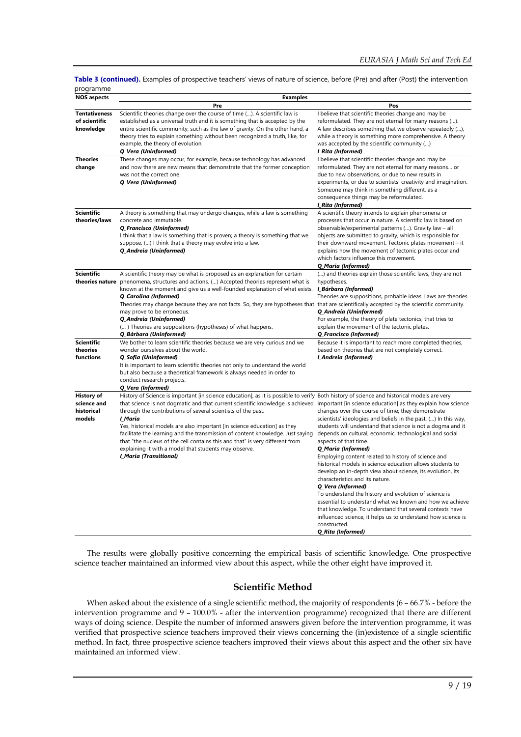**Table 3 (continued).** Examples of prospective teachers' views of nature of science, before (Pre) and after (Post) the intervention programme

| <b>NOS aspects</b>                                       | <b>Examples</b>                                                                                                                                                                                                                                                                                                                                                                                                                                                                                                                                                                                                                                                                                       |                                                                                                                                                                                                                                                                                                                                                                                                                                                                                                                                                                                                                                                                                                                                                                                                                               |
|----------------------------------------------------------|-------------------------------------------------------------------------------------------------------------------------------------------------------------------------------------------------------------------------------------------------------------------------------------------------------------------------------------------------------------------------------------------------------------------------------------------------------------------------------------------------------------------------------------------------------------------------------------------------------------------------------------------------------------------------------------------------------|-------------------------------------------------------------------------------------------------------------------------------------------------------------------------------------------------------------------------------------------------------------------------------------------------------------------------------------------------------------------------------------------------------------------------------------------------------------------------------------------------------------------------------------------------------------------------------------------------------------------------------------------------------------------------------------------------------------------------------------------------------------------------------------------------------------------------------|
|                                                          | Pre                                                                                                                                                                                                                                                                                                                                                                                                                                                                                                                                                                                                                                                                                                   | Pos                                                                                                                                                                                                                                                                                                                                                                                                                                                                                                                                                                                                                                                                                                                                                                                                                           |
| <b>Tentativeness</b><br>of scientific<br>knowledge       | Scientific theories change over the course of time (). A scientific law is<br>established as a universal truth and it is something that is accepted by the<br>entire scientific community, such as the law of gravity. On the other hand, a<br>theory tries to explain something without been recognized a truth, like, for<br>example, the theory of evolution.<br>Q_Vera (Uninformed)                                                                                                                                                                                                                                                                                                               | I believe that scientific theories change and may be<br>reformulated. They are not eternal for many reasons ().<br>A law describes something that we observe repeatedly (),<br>while a theory is something more comprehensive. A theory<br>was accepted by the scientific community ()<br>I_Rita (Informed)                                                                                                                                                                                                                                                                                                                                                                                                                                                                                                                   |
| <b>Theories</b><br>change                                | These changes may occur, for example, because technology has advanced<br>and now there are new means that demonstrate that the former conception<br>was not the correct one.<br>Q Vera (Uninformed)                                                                                                                                                                                                                                                                                                                                                                                                                                                                                                   | I believe that scientific theories change and may be<br>reformulated. They are not eternal for many reasons or<br>due to new observations, or due to new results in<br>experiments, or due to scientists' creativity and imagination.<br>Someone may think in something different, as a<br>consequence things may be reformulated.<br>I_Rita (Informed)                                                                                                                                                                                                                                                                                                                                                                                                                                                                       |
| <b>Scientific</b><br>theories/laws                       | A theory is something that may undergo changes, while a law is something<br>concrete and immutable.<br>Q_Francisco (Uninformed)<br>I think that a law is something that is proven; a theory is something that we<br>suppose. () I think that a theory may evolve into a law.<br>Q_Andreia (Uninformed)                                                                                                                                                                                                                                                                                                                                                                                                | A scientific theory intends to explain phenomena or<br>processes that occur in nature. A scientific law is based on<br>observable/experimental patterns (). Gravity law - all<br>objects are submitted to gravity, which is responsible for<br>their downward movement. Tectonic plates movement – it<br>explains how the movement of tectonic plates occur and<br>which factors influence this movement.<br>Q_Maria (Informed)                                                                                                                                                                                                                                                                                                                                                                                               |
| <b>Scientific</b><br>theories nature                     | A scientific theory may be what is proposed as an explanation for certain<br>phenomena, structures and actions. () Accepted theories represent what is<br>known at the moment and give us a well-founded explanation of what exists. <i>LBárbara (Informed)</i><br>Q_Carolina (Informed)<br>Theories may change because they are not facts. So, they are hypotheses that that are scientifically accepted by the scientific community.<br>may prove to be erroneous.<br>Q_Andreia (Uninformed)<br>() Theories are suppositions (hypotheses) of what happens.<br>Q_Bárbara (Uninformed)                                                                                                                | () and theories explain those scientific laws, they are not<br>hypotheses.<br>Theories are suppositions, probable ideas. Laws are theories<br>Q_Andreia (Uninformed)<br>For example, the theory of plate tectonics, that tries to<br>explain the movement of the tectonic plates.<br>Q_Francisco (Informed)                                                                                                                                                                                                                                                                                                                                                                                                                                                                                                                   |
| <b>Scientific</b><br>theories<br>functions               | We bother to learn scientific theories because we are very curious and we<br>wonder ourselves about the world.<br>Q Sofia (Uninformed)<br>It is important to learn scientific theories not only to understand the world<br>but also because a theoretical framework is always needed in order to<br>conduct research projects.<br>Q Vera (Informed)                                                                                                                                                                                                                                                                                                                                                   | Because it is important to reach more completed theories,<br>based on theories that are not completely correct.<br>I_Andreia (Informed)                                                                                                                                                                                                                                                                                                                                                                                                                                                                                                                                                                                                                                                                                       |
| <b>History of</b><br>science and<br>historical<br>models | History of Science is important [in science education], as it is possible to verify Both history of science and historical models are very<br>that science is not dogmatic and that current scientific knowledge is achieved important [in science education] as they explain how science<br>through the contributions of several scientists of the past.<br>I Maria<br>Yes, historical models are also important [in science education] as they<br>facilitate the learning and the transmission of content knowledge. Just saying<br>that "the nucleus of the cell contains this and that" is very different from<br>explaining it with a model that students may observe.<br>I_Maria (Transitional) | changes over the course of time; they demonstrate<br>scientists' ideologies and beliefs in the past. () In this way,<br>students will understand that science is not a dogma and it<br>depends on cultural, economic, technological and social<br>aspects of that time.<br>Q_Maria (Informed)<br>Employing content related to history of science and<br>historical models in science education allows students to<br>develop an in-depth view about science, its evolution, its<br>characteristics and its nature.<br>Q Vera (Informed)<br>To understand the history and evolution of science is<br>essential to understand what we known and how we achieve<br>that knowledge. To understand that several contexts have<br>influenced science, it helps us to understand how science is<br>constructed.<br>Q Rita (Informed) |

The results were globally positive concerning the empirical basis of scientific knowledge. One prospective science teacher maintained an informed view about this aspect, while the other eight have improved it.

### **Scientific Method**

When asked about the existence of a single scientific method, the majority of respondents (6 - 66.7% - before the intervention programme and 9 – 100.0% - after the intervention programme) recognized that there are different ways of doing science. Despite the number of informed answers given before the intervention programme, it was verified that prospective science teachers improved their views concerning the (in)existence of a single scientific method. In fact, three prospective science teachers improved their views about this aspect and the other six have maintained an informed view.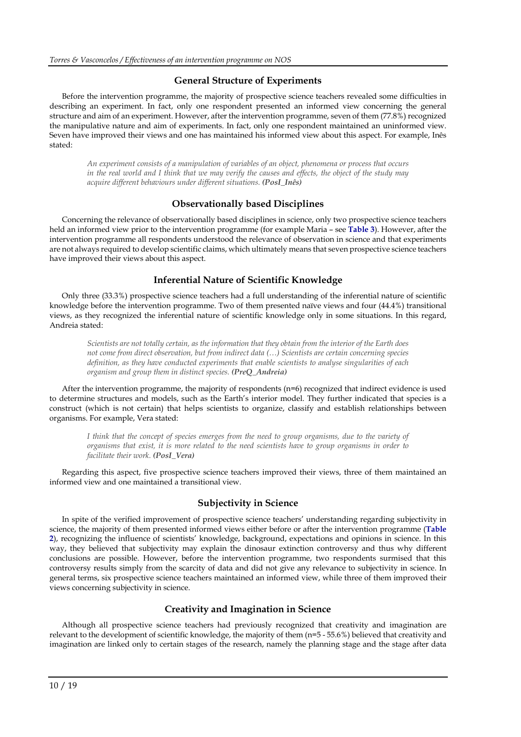### **General Structure of Experiments**

Before the intervention programme, the majority of prospective science teachers revealed some difficulties in describing an experiment. In fact, only one respondent presented an informed view concerning the general structure and aim of an experiment. However, after the intervention programme, seven of them (77.8%) recognized the manipulative nature and aim of experiments. In fact, only one respondent maintained an uninformed view. Seven have improved their views and one has maintained his informed view about this aspect. For example, Inês stated:

*An experiment consists of a manipulation of variables of an object, phenomena or process that occurs* in the real world and I think that we may verify the causes and effects, the object of the study may *acquire different behaviours under different situations. (PosI\_Inês)*

### **Observationally based Disciplines**

Concerning the relevance of observationally based disciplines in science, only two prospective science teachers held an informed view prior to the intervention programme (for example Maria – see **Table 3**). However, after the intervention programme all respondents understood the relevance of observation in science and that experiments are not always required to develop scientific claims, which ultimately means that seven prospective science teachers have improved their views about this aspect.

### **Inferential Nature of Scientific Knowledge**

Only three (33.3%) prospective science teachers had a full understanding of the inferential nature of scientific knowledge before the intervention programme. Two of them presented naïve views and four (44.4%) transitional views, as they recognized the inferential nature of scientific knowledge only in some situations. In this regard, Andreia stated:

Scientists are not totally certain, as the information that they obtain from the interior of the Earth does *not come from direct observation, but from indirect data (…) Scientists are certain concerning species definition, as they have conducted experiments that enable scientists to analyse singularities of each organism and group them in distinct species. (PreQ\_Andreia)*

After the intervention programme, the majority of respondents (n=6) recognized that indirect evidence is used to determine structures and models, such as the Earth's interior model. They further indicated that species is a construct (which is not certain) that helps scientists to organize, classify and establish relationships between organisms. For example, Vera stated:

I think that the concept of species emerges from the need to group organisms, due to the variety of organisms that exist, it is more related to the need scientists have to group organisms in order to *facilitate their work. (PosI\_Vera)*

Regarding this aspect, five prospective science teachers improved their views, three of them maintained an informed view and one maintained a transitional view.

### **Subjectivity in Science**

In spite of the verified improvement of prospective science teachers' understanding regarding subjectivity in science, the majority of them presented informed views either before or after the intervention programme (**Table 2**), recognizing the influence of scientists' knowledge, background, expectations and opinions in science. In this way, they believed that subjectivity may explain the dinosaur extinction controversy and thus why different conclusions are possible. However, before the intervention programme, two respondents surmised that this controversy results simply from the scarcity of data and did not give any relevance to subjectivity in science. In general terms, six prospective science teachers maintained an informed view, while three of them improved their views concerning subjectivity in science.

### **Creativity and Imagination in Science**

Although all prospective science teachers had previously recognized that creativity and imagination are relevant to the development of scientific knowledge, the majority of them (n=5 - 55.6%) believed that creativity and imagination are linked only to certain stages of the research, namely the planning stage and the stage after data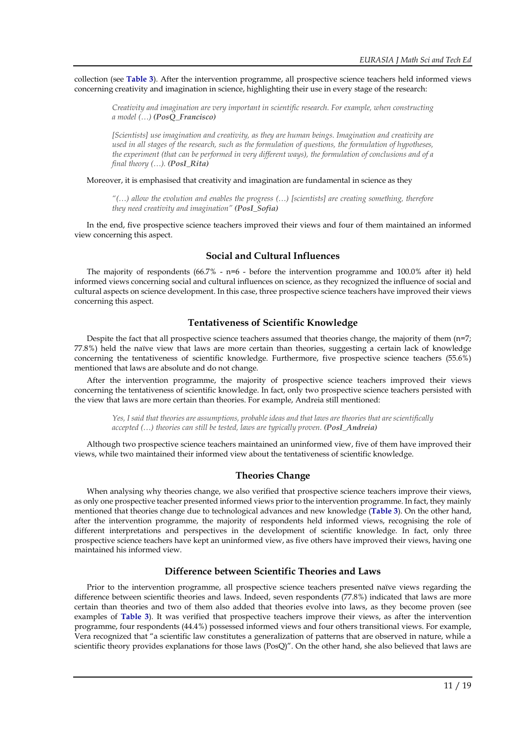collection (see **Table 3**). After the intervention programme, all prospective science teachers held informed views concerning creativity and imagination in science, highlighting their use in every stage of the research:

*Creativity and imagination are very important in scientific research. For example, when constructing a model (…) (PosQ\_Francisco)*

*[Scientists] use imagination and creativity, as they are human beings. Imagination and creativity are used in all stages of the research, such as the formulation of questions, the formulation of hypotheses, the experiment (that can be performed in very different ways), the formulation of conclusions and of a final theory (…). (PosI\_Rita)*

Moreover, it is emphasised that creativity and imagination are fundamental in science as they

*"(…) allow the evolution and enables the progress (…) [scientists] are creating something, therefore they need creativity and imagination" (PosI\_Sofia)*

In the end, five prospective science teachers improved their views and four of them maintained an informed view concerning this aspect.

### **Social and Cultural Influences**

The majority of respondents  $(66.7\% - n=6 - \text{before the intervention programme and } 100.0\% \text{ after it})$  held informed views concerning social and cultural influences on science, as they recognized the influence of social and cultural aspects on science development. In this case, three prospective science teachers have improved their views concerning this aspect.

### **Tentativeness of Scientific Knowledge**

Despite the fact that all prospective science teachers assumed that theories change, the majority of them (n=7; 77.8%) held the naïve view that laws are more certain than theories, suggesting a certain lack of knowledge concerning the tentativeness of scientific knowledge. Furthermore, five prospective science teachers (55.6%) mentioned that laws are absolute and do not change.

After the intervention programme, the majority of prospective science teachers improved their views concerning the tentativeness of scientific knowledge. In fact, only two prospective science teachers persisted with the view that laws are more certain than theories. For example, Andreia still mentioned:

Yes, I said that theories are assumptions, probable ideas and that laws are theories that are scientifically *accepted (…) theories can still be tested, laws are typically proven. (PosI\_Andreia)*

Although two prospective science teachers maintained an uninformed view, five of them have improved their views, while two maintained their informed view about the tentativeness of scientific knowledge.

### **Theories Change**

When analysing why theories change, we also verified that prospective science teachers improve their views, as only one prospective teacher presented informed views prior to the intervention programme. In fact, they mainly mentioned that theories change due to technological advances and new knowledge (**Table 3**). On the other hand, after the intervention programme, the majority of respondents held informed views, recognising the role of different interpretations and perspectives in the development of scientific knowledge. In fact, only three prospective science teachers have kept an uninformed view, as five others have improved their views, having one maintained his informed view.

### **Difference between Scientific Theories and Laws**

Prior to the intervention programme, all prospective science teachers presented naïve views regarding the difference between scientific theories and laws. Indeed, seven respondents (77.8%) indicated that laws are more certain than theories and two of them also added that theories evolve into laws, as they become proven (see examples of **Table 3**). It was verified that prospective teachers improve their views, as after the intervention programme, four respondents (44.4%) possessed informed views and four others transitional views. For example, Vera recognized that "a scientific law constitutes a generalization of patterns that are observed in nature, while a scientific theory provides explanations for those laws (PosQ)". On the other hand, she also believed that laws are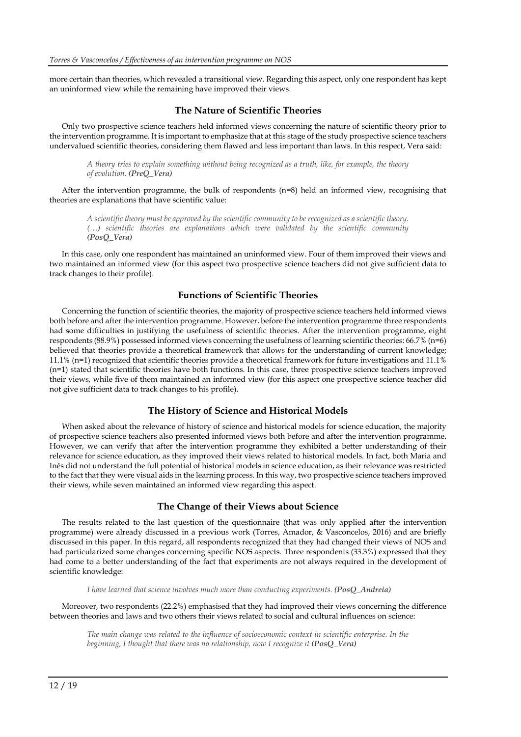more certain than theories, which revealed a transitional view. Regarding this aspect, only one respondent has kept an uninformed view while the remaining have improved their views.

### **The Nature of Scientific Theories**

Only two prospective science teachers held informed views concerning the nature of scientific theory prior to the intervention programme. It is important to emphasize that at this stage of the study prospective science teachers undervalued scientific theories, considering them flawed and less important than laws. In this respect, Vera said:

*A theory tries to explain something without being recognized as a truth, like, for example, the theory of evolution. (PreQ\_Vera)*

After the intervention programme, the bulk of respondents (n=8) held an informed view, recognising that theories are explanations that have scientific value:

*A scientific theory must be approved by the scientific community to be recognized as a scientific theory. (…) scientific theories are explanations which were validated by the scientific community (PosQ\_Vera)*

In this case, only one respondent has maintained an uninformed view. Four of them improved their views and two maintained an informed view (for this aspect two prospective science teachers did not give sufficient data to track changes to their profile).

### **Functions of Scientific Theories**

Concerning the function of scientific theories, the majority of prospective science teachers held informed views both before and after the intervention programme. However, before the intervention programme three respondents had some difficulties in justifying the usefulness of scientific theories. After the intervention programme, eight respondents (88.9%) possessed informed views concerning the usefulness of learning scientific theories: 66.7% (n=6) believed that theories provide a theoretical framework that allows for the understanding of current knowledge; 11.1% (n=1) recognized that scientific theories provide a theoretical framework for future investigations and 11.1% (n=1) stated that scientific theories have both functions. In this case, three prospective science teachers improved their views, while five of them maintained an informed view (for this aspect one prospective science teacher did not give sufficient data to track changes to his profile).

#### **The History of Science and Historical Models**

When asked about the relevance of history of science and historical models for science education, the majority of prospective science teachers also presented informed views both before and after the intervention programme. However, we can verify that after the intervention programme they exhibited a better understanding of their relevance for science education, as they improved their views related to historical models. In fact, both Maria and Inês did not understand the full potential of historical models in science education, as their relevance was restricted to the fact that they were visual aids in the learning process. In this way, two prospective science teachers improved their views, while seven maintained an informed view regarding this aspect.

#### **The Change of their Views about Science**

The results related to the last question of the questionnaire (that was only applied after the intervention programme) were already discussed in a previous work (Torres, Amador, & Vasconcelos, 2016) and are briefly discussed in this paper. In this regard, all respondents recognized that they had changed their views of NOS and had particularized some changes concerning specific NOS aspects. Three respondents (33.3%) expressed that they had come to a better understanding of the fact that experiments are not always required in the development of scientific knowledge:

*I have learned that science involves much more than conducting experiments. (PosQ\_Andreia)*

Moreover, two respondents (22.2%) emphasised that they had improved their views concerning the difference between theories and laws and two others their views related to social and cultural influences on science:

*The main change was related to the influence of socioeconomic context in scientific enterprise. In the beginning, I thought that there was no relationship, now I recognize it (PosQ\_Vera)*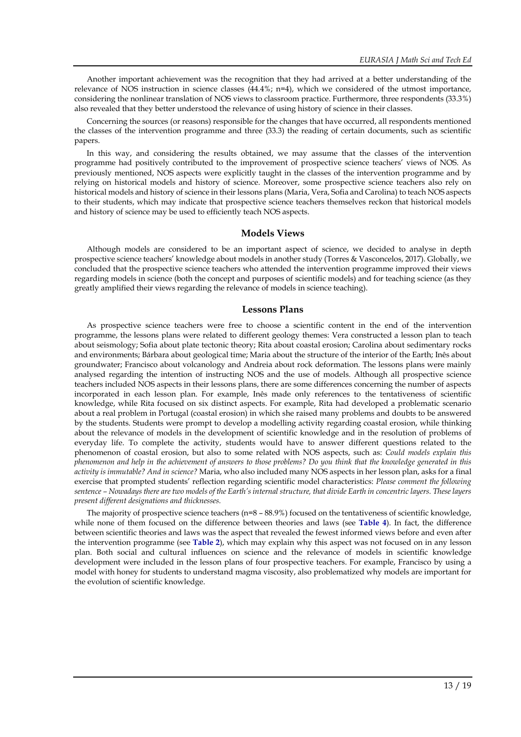Another important achievement was the recognition that they had arrived at a better understanding of the relevance of NOS instruction in science classes (44.4%; n=4), which we considered of the utmost importance, considering the nonlinear translation of NOS views to classroom practice. Furthermore, three respondents (33.3%) also revealed that they better understood the relevance of using history of science in their classes.

Concerning the sources (or reasons) responsible for the changes that have occurred, all respondents mentioned the classes of the intervention programme and three (33.3) the reading of certain documents, such as scientific papers.

In this way, and considering the results obtained, we may assume that the classes of the intervention programme had positively contributed to the improvement of prospective science teachers' views of NOS. As previously mentioned, NOS aspects were explicitly taught in the classes of the intervention programme and by relying on historical models and history of science. Moreover, some prospective science teachers also rely on historical models and history of science in their lessons plans (Maria, Vera, Sofia and Carolina) to teach NOS aspects to their students, which may indicate that prospective science teachers themselves reckon that historical models and history of science may be used to efficiently teach NOS aspects.

#### **Models Views**

Although models are considered to be an important aspect of science, we decided to analyse in depth prospective science teachers' knowledge about models in another study (Torres & Vasconcelos, 2017). Globally, we concluded that the prospective science teachers who attended the intervention programme improved their views regarding models in science (both the concept and purposes of scientific models) and for teaching science (as they greatly amplified their views regarding the relevance of models in science teaching).

#### **Lessons Plans**

As prospective science teachers were free to choose a scientific content in the end of the intervention programme, the lessons plans were related to different geology themes: Vera constructed a lesson plan to teach about seismology; Sofia about plate tectonic theory; Rita about coastal erosion; Carolina about sedimentary rocks and environments; Bárbara about geological time; Maria about the structure of the interior of the Earth; Inês about groundwater; Francisco about volcanology and Andreia about rock deformation. The lessons plans were mainly analysed regarding the intention of instructing NOS and the use of models. Although all prospective science teachers included NOS aspects in their lessons plans, there are some differences concerning the number of aspects incorporated in each lesson plan. For example, Inês made only references to the tentativeness of scientific knowledge, while Rita focused on six distinct aspects. For example, Rita had developed a problematic scenario about a real problem in Portugal (coastal erosion) in which she raised many problems and doubts to be answered by the students. Students were prompt to develop a modelling activity regarding coastal erosion, while thinking about the relevance of models in the development of scientific knowledge and in the resolution of problems of everyday life. To complete the activity, students would have to answer different questions related to the phenomenon of coastal erosion, but also to some related with NOS aspects, such as: *Could models explain this* phenomenon and help in the achievement of answers to those problems? Do you think that the knowledge generated in this *activity is immutable? And in science?* Maria, who also included many NOS aspects in her lesson plan, asks for a final exercise that prompted students' reflection regarding scientific model characteristics: *Please comment the following* sentence – Nowadays there are two models of the Earth's internal structure, that divide Earth in concentric layers. These layers *present different designations and thicknesses.*

The majority of prospective science teachers (n=8 – 88.9%) focused on the tentativeness of scientific knowledge, while none of them focused on the difference between theories and laws (see **Table 4**). In fact, the difference between scientific theories and laws was the aspect that revealed the fewest informed views before and even after the intervention programme (see **Table 2**), which may explain why this aspect was not focused on in any lesson plan. Both social and cultural influences on science and the relevance of models in scientific knowledge development were included in the lesson plans of four prospective teachers. For example, Francisco by using a model with honey for students to understand magma viscosity, also problematized why models are important for the evolution of scientific knowledge.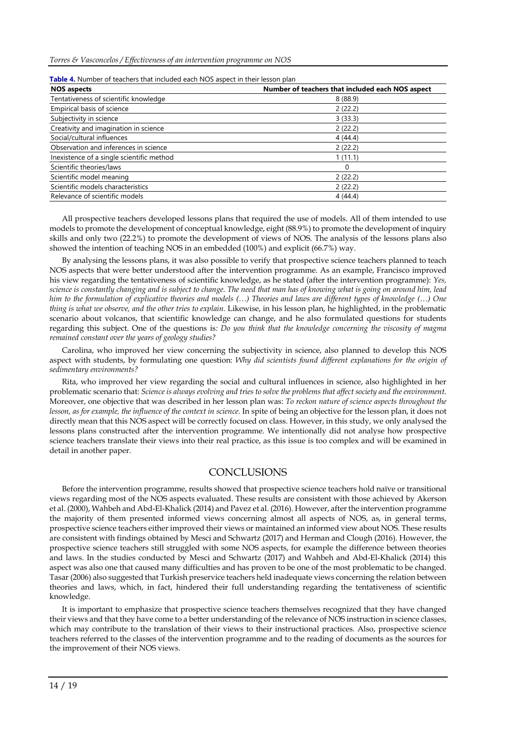| <b>NOS aspects</b>                        | Number of teachers that included each NOS aspect |
|-------------------------------------------|--------------------------------------------------|
| Tentativeness of scientific knowledge     | 8(88.9)                                          |
| Empirical basis of science                | 2(22.2)                                          |
| Subjectivity in science                   | 3(33.3)                                          |
| Creativity and imagination in science     | 2(22.2)                                          |
| Social/cultural influences                | 4(44.4)                                          |
| Observation and inferences in science     | 2(22.2)                                          |
| Inexistence of a single scientific method | 1(11.1)                                          |
| Scientific theories/laws                  | 0                                                |
| Scientific model meaning                  | 2(22.2)                                          |
| Scientific models characteristics         | 2(22.2)                                          |
| Relevance of scientific models            | 4(44.4)                                          |

All prospective teachers developed lessons plans that required the use of models. All of them intended to use models to promote the development of conceptual knowledge, eight (88.9%) to promote the development of inquiry skills and only two (22.2%) to promote the development of views of NOS. The analysis of the lessons plans also showed the intention of teaching NOS in an embedded (100%) and explicit (66.7%) way.

By analysing the lessons plans, it was also possible to verify that prospective science teachers planned to teach NOS aspects that were better understood after the intervention programme. As an example, Francisco improved his view regarding the tentativeness of scientific knowledge, as he stated (after the intervention programme): *Yes,* science is constantly changing and is subject to change. The need that man has of knowing what is going on around him, lead him to the formulation of explicative theories and models  $(...)$  Theories and laws are different types of knowledge  $(...)$  One *thing is what we observe, and the other tries to explain.* Likewise, in his lesson plan, he highlighted, in the problematic scenario about volcanos, that scientific knowledge can change, and he also formulated questions for students regarding this subject. One of the questions is*: Do you think that the knowledge concerning the viscosity of magma remained constant over the years of geology studies?*

Carolina, who improved her view concerning the subjectivity in science, also planned to develop this NOS aspect with students, by formulating one question: *Why did scientists found different explanations for the origin of sedimentary environments?*

Rita, who improved her view regarding the social and cultural influences in science, also highlighted in her problematic scenario that: Science is always evolving and tries to solve the problems that affect society and the environment. Moreover, one objective that was described in her lesson plan was: *To reckon nature of science aspects throughout the lesson, as for example, the influence of the context in science.* In spite of being an objective for the lesson plan, it does not directly mean that this NOS aspect will be correctly focused on class. However, in this study, we only analysed the lessons plans constructed after the intervention programme. We intentionally did not analyse how prospective science teachers translate their views into their real practice, as this issue is too complex and will be examined in detail in another paper.

# **CONCLUSIONS**

Before the intervention programme, results showed that prospective science teachers hold naïve or transitional views regarding most of the NOS aspects evaluated. These results are consistent with those achieved by Akerson et al. (2000), Wahbeh and Abd-El-Khalick (2014) and Pavez et al. (2016). However, afterthe intervention programme the majority of them presented informed views concerning almost all aspects of NOS, as, in general terms, prospective science teachers either improved their views or maintained an informed view about NOS. These results are consistent with findings obtained by Mesci and Schwartz (2017) and Herman and Clough (2016). However, the prospective science teachers still struggled with some NOS aspects, for example the difference between theories and laws. In the studies conducted by Mesci and Schwartz (2017) and Wahbeh and Abd-El-Khalick (2014) this aspect was also one that caused many difficulties and has proven to be one of the most problematic to be changed. Tasar (2006) also suggested that Turkish preservice teachers held inadequate views concerning the relation between theories and laws, which, in fact, hindered their full understanding regarding the tentativeness of scientific knowledge.

It is important to emphasize that prospective science teachers themselves recognized that they have changed their views and that they have come to a better understanding of the relevance of NOS instruction in science classes, which may contribute to the translation of their views to their instructional practices. Also, prospective science teachers referred to the classes of the intervention programme and to the reading of documents as the sources for the improvement of their NOS views.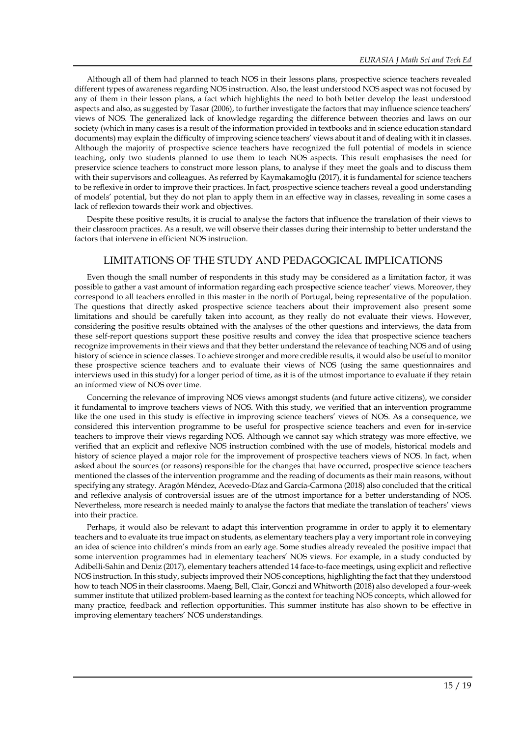Although all of them had planned to teach NOS in their lessons plans, prospective science teachers revealed different types of awareness regarding NOS instruction. Also, the least understood NOS aspect was not focused by any of them in their lesson plans, a fact which highlights the need to both better develop the least understood aspects and also, as suggested by Tasar (2006), to further investigate the factors that may influence science teachers' views of NOS. The generalized lack of knowledge regarding the difference between theories and laws on our society (which in many cases is a result of the information provided in textbooks and in science education standard documents) may explain the difficulty of improving science teachers' views about it and of dealing with it in classes. Although the majority of prospective science teachers have recognized the full potential of models in science teaching, only two students planned to use them to teach NOS aspects. This result emphasises the need for preservice science teachers to construct more lesson plans, to analyse if they meet the goals and to discuss them with their supervisors and colleagues. As referred by Kaymakamoğlu (2017), it is fundamental for science teachers to be reflexive in order to improve their practices. In fact, prospective science teachers reveal a good understanding of models' potential, but they do not plan to apply them in an effective way in classes, revealing in some cases a lack of reflexion towards their work and objectives.

Despite these positive results, it is crucial to analyse the factors that influence the translation of their views to their classroom practices. As a result, we will observe their classes during their internship to better understand the factors that intervene in efficient NOS instruction.

# LIMITATIONS OF THE STUDY AND PEDAGOGICAL IMPLICATIONS

Even though the small number of respondents in this study may be considered as a limitation factor, it was possible to gather a vast amount of information regarding each prospective science teacher' views. Moreover, they correspond to all teachers enrolled in this master in the north of Portugal, being representative of the population. The questions that directly asked prospective science teachers about their improvement also present some limitations and should be carefully taken into account, as they really do not evaluate their views. However, considering the positive results obtained with the analyses of the other questions and interviews, the data from these self-report questions support these positive results and convey the idea that prospective science teachers recognize improvements in their views and that they better understand the relevance of teaching NOS and of using history of science in science classes. To achieve stronger and more credible results, it would also be useful to monitor these prospective science teachers and to evaluate their views of NOS (using the same questionnaires and interviews used in this study) for a longer period of time, as it is of the utmost importance to evaluate if they retain an informed view of NOS over time.

Concerning the relevance of improving NOS views amongst students (and future active citizens), we consider it fundamental to improve teachers views of NOS. With this study, we verified that an intervention programme like the one used in this study is effective in improving science teachers' views of NOS. As a consequence, we considered this intervention programme to be useful for prospective science teachers and even for in-service teachers to improve their views regarding NOS. Although we cannot say which strategy was more effective, we verified that an explicit and reflexive NOS instruction combined with the use of models, historical models and history of science played a major role for the improvement of prospective teachers views of NOS. In fact, when asked about the sources (or reasons) responsible for the changes that have occurred, prospective science teachers mentioned the classes of the intervention programme and the reading of documents as their main reasons, without specifying any strategy. Aragón Méndez, Acevedo-Díaz and García-Carmona (2018) also concluded that the critical and reflexive analysis of controversial issues are of the utmost importance for a better understanding of NOS. Nevertheless, more research is needed mainly to analyse the factors that mediate the translation of teachers' views into their practice.

Perhaps, it would also be relevant to adapt this intervention programme in order to apply it to elementary teachers and to evaluate its true impact on students, as elementary teachers play a very important role in conveying an idea of science into children's minds from an early age. Some studies already revealed the positive impact that some intervention programmes had in elementary teachers' NOS views. For example, in a study conducted by Adibelli-Sahin and Deniz (2017), elementary teachers attended 14 face-to-face meetings, using explicit and reflective NOS instruction. In this study, subjects improved their NOS conceptions, highlighting the fact that they understood how to teach NOS in their classrooms. Maeng, Bell, Clair, Gonczi and Whitworth (2018) also developed a four-week summer institute that utilized problem-based learning as the context for teaching NOS concepts, which allowed for many practice, feedback and reflection opportunities. This summer institute has also shown to be effective in improving elementary teachers' NOS understandings.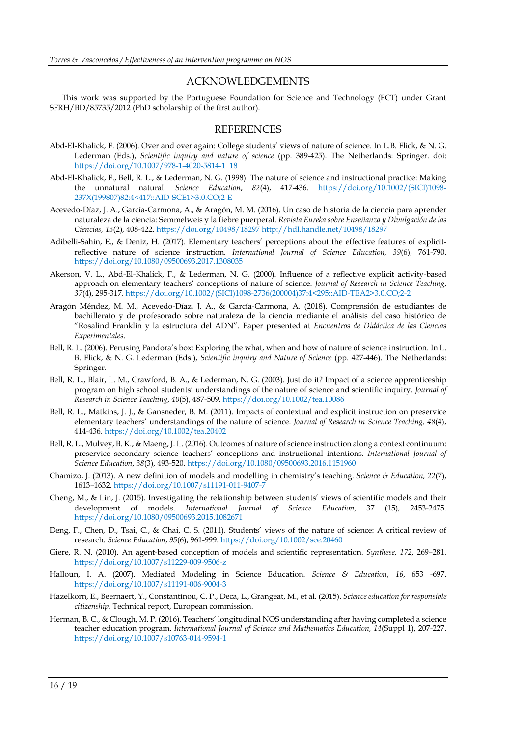### ACKNOWLEDGEMENTS

This work was supported by the Portuguese Foundation for Science and Technology (FCT) under Grant SFRH/BD/85735/2012 (PhD scholarship of the first author).

#### **REFERENCES**

- Abd-El-Khalick, F. (2006). Over and over again: College students' views of nature of science. In L.B. Flick, & N. G. Lederman (Eds.), *Scientific inquiry and nature of science* (pp. 389-425). The Netherlands: Springer. doi: [https://doi.org/10.1007/978-1-4020-5814-1\\_18](https://doi.org/10.1007/978-1-4020-5814-1_18)
- Abd-El-Khalick, F., Bell, R. L., & Lederman, N. G. (1998). The nature of science and instructional practice: Making the unnatural natural. *Science Education*, *82*(4), 417-436. [https://doi.org/10.1002/\(SICI\)1098-](https://doi.org/10.1002/(SICI)1098-237X(199807)82:4%3c417::AID-SCE1%3e3.0.CO;2-E) [237X\(199807\)82:4<417::AID-SCE1>3.0.CO;2-E](https://doi.org/10.1002/(SICI)1098-237X(199807)82:4%3c417::AID-SCE1%3e3.0.CO;2-E)
- Acevedo-Díaz, J. A., García-Carmona, A., & Aragón, M. M. (2016). Un caso de historia de la ciencia para aprender naturaleza de la ciencia: Semmelweis y la fiebre puerperal. *Revista Eureka sobre Enseñanza y Divulgación de las Ciencias, 13*(2), 408-422. <https://doi.org/10498/18297> <http://hdl.handle.net/10498/18297>
- Adibelli-Sahin, E., & Deniz, H. (2017). Elementary teachers' perceptions about the effective features of explicitreflective nature of science instruction. *International Journal of Science Education, 39*(6), 761-790. <https://doi.org/10.1080/09500693.2017.1308035>
- Akerson, V. L., Abd-El-Khalick, F., & Lederman, N. G. (2000). Influence of a reflective explicit activity-based approach on elementary teachers' conceptions of nature of science. *Journal of Research in Science Teaching*, *37*(4), 295-317. [https://doi.org/10.1002/\(SICI\)1098-2736\(200004\)37:4<295::AID-TEA2>3.0.CO;2-2](https://doi.org/10.1002/(SICI)1098-2736(200004)37:4%3c295::AID-TEA2%3e3.0.CO;2-2)
- Aragón Méndez, M. M., Acevedo-Díaz, J. A., & García-Carmona, A. (2018). Comprensión de estudiantes de bachillerato y de profesorado sobre naturaleza de la ciencia mediante el análisis del caso histórico de "Rosalind Franklin y la estructura del ADN". Paper presented at *Encuentros de Didáctica de las Ciencias Experimentales*.
- Bell, R. L. (2006). Perusing Pandora's box: Exploring the what, when and how of nature of science instruction. In L. B. Flick, & N. G. Lederman (Eds.), *Scientific inquiry and Nature of Science* (pp. 427-446). The Netherlands: Springer.
- Bell, R. L., Blair, L. M., Crawford, B. A., & Lederman, N. G. (2003). Just do it? Impact of a science apprenticeship program on high school students' understandings of the nature of science and scientific inquiry. *Journal of Research in Science Teaching*, *40*(5), 487-509. <https://doi.org/10.1002/tea.10086>
- Bell, R. L., Matkins, J. J., & Gansneder, B. M. (2011). Impacts of contextual and explicit instruction on preservice elementary teachers' understandings of the nature of science. *Journal of Research in Science Teaching, 48*(4), 414-436. <https://doi.org/10.1002/tea.20402>
- Bell, R. L., Mulvey, B. K., & Maeng, J. L. (2016). Outcomes of nature of science instruction along a context continuum: preservice secondary science teachers' conceptions and instructional intentions. *International Journal of Science Education*, *38*(3), 493-520. <https://doi.org/10.1080/09500693.2016.1151960>
- Chamizo, J. (2013). A new definition of models and modelling in chemistry's teaching. *Science & Education, 22*(7), 1613–1632. <https://doi.org/10.1007/s11191-011-9407-7>
- Cheng, M., & Lin, J. (2015). Investigating the relationship between students' views of scientific models and their development of models. *International Journal of Science Education*, 37 (15), 2453-2475. <https://doi.org/10.1080/09500693.2015.1082671>
- Deng, F., Chen, D., Tsai, C., & Chai, C. S. (2011). Students' views of the nature of science: A critical review of research. *Science Education*, *95*(6), 961-999. <https://doi.org/10.1002/sce.20460>
- Giere, R. N. (2010). An agent-based conception of models and scientific representation. *Synthese, 172*, 269–281. <https://doi.org/10.1007/s11229-009-9506-z>
- Halloun, I. A. (2007). Mediated Modeling in Science Education. *Science & Education*, *16*, 653 -697. <https://doi.org/10.1007/s11191-006-9004-3>
- Hazelkorn, E., Beernaert, Y., Constantinou, C. P., Deca, L., Grangeat, M., et al. (2015). *Science education for responsible citizenship*. Technical report, European commission.
- Herman, B. C., & Clough, M. P. (2016). Teachers' longitudinal NOS understanding after having completed a science teacher education program. *International Journal of Science and Mathematics Education, 14*(Suppl 1), 207-227. <https://doi.org/10.1007/s10763-014-9594-1>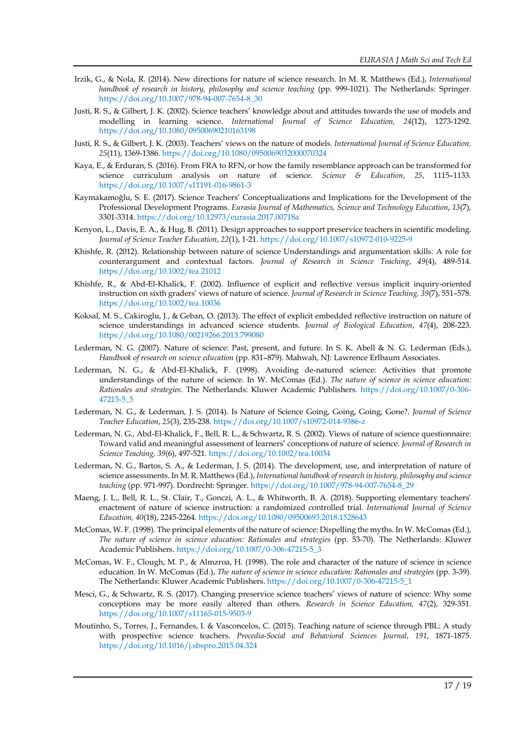- Irzik, G., & Nola, R. (2014). New directions for nature of science research. In M. R. Matthews (Ed.), *International handbook of research in history, philosophy and science teaching* (pp. 999-1021). The Netherlands: Springer. [https://doi.org/10.1007/978-94-007-7654-8\\_30](https://doi.org/10.1007/978-94-007-7654-8_30)
- Justi, R. S., & Gilbert, J. K. (2002). Science teachers' knowledge about and attitudes towards the use of models and modelling in learning science. *International Journal of Science Education, 24*(12), 1273-1292. <https://doi.org/10.1080/09500690210163198>
- Justi, R. S., & Gilbert, J. K. (2003). Teachers' views on the nature of models. *International Journal of Science Education, 25*(11), 1369-1386. <https://doi.org/10.1080/0950069032000070324>
- Kaya, E., & Erduran, S. (2016). From FRA to RFN, or how the family resemblance approach can be transformed for science curriculum analysis on nature of science. *Science & Education*, *25*, 1115–1133. <https://doi.org/10.1007/s11191-016-9861-3>
- Kaymakamoğlu, S. E. (2017). Science Teachers' Conceptualizations and Implications for the Development of the Professional Development Programs. *Eurasia Journal of Mathematics, Science and Technology Education*, *13*(7), 3301-3314. <https://doi.org/10.12973/eurasia.2017.00718a>
- Kenyon, L., Davis, E. A., & Hug, B. (2011). Design approaches to support preservice teachers in scientific modeling. *Journal of Science Teacher Education*, *22*(1), 1-21. <https://doi.org/10.1007/s10972-010-9225-9>
- Khishfe, R. (2012). Relationship between nature of science Understandings and argumentation skills: A role for counterargument and contextual factors. *Journal of Research in Science Teaching*, *49*(4), 489-514. <https://doi.org/10.1002/tea.21012>
- Khishfe, R., & Abd-El-Khalick, F. (2002). Influence of explicit and reflective versus implicit inquiry-oriented instruction on sixth graders' views of nature of science. *Journal of Research in Science Teaching, 39*(7), 551–578. <https://doi.org/10.1002/tea.10036>
- Koksal, M. S., Cakiroglu, J., & Geban, O. (2013). The effect of explicit embedded reflective instruction on nature of science understandings in advanced science students. *Journal of Biological Education*, *47*(4), 208-223. <https://doi.org/10.1080/00219266.2013.799080>
- Lederman, N. G. (2007). Nature of science: Past, present, and future. In S. K. Abell & N. G. Lederman (Eds.), *Handbook of research on science education* (pp. 831–879). Mahwah, NJ: Lawrence Erlbaum Associates.
- Lederman, N. G., & Abd-El-Khalick, F. (1998). Avoiding de-natured science: Activities that promote understandings of the nature of science. In W. McComas (Ed.). *The nature of science in science education: Rationales and strategies*. The Netherlands: Kluwer Academic Publishers. [https://doi.org/10.1007/0-306-](https://doi.org/10.1007/0-306-47215-5_5) [47215-5\\_5](https://doi.org/10.1007/0-306-47215-5_5)
- Lederman, N. G., & Lederman, J. S. (2014). Is Nature of Science Going, Going, Going, Gone?. *Journal of Science Teacher Education*, *25*(3), 235-238. <https://doi.org/10.1007/s10972-014-9386-z>
- Lederman, N. G., Abd-El-Khalick, F., Bell, R. L., & Schwartz, R. S. (2002). Views of nature of science questionnaire: Toward valid and meaningful assessment of learners' conceptions of nature of science. *Journal of Research in Science Teaching, 39*(6), 497-521. <https://doi.org/10.1002/tea.10034>
- Lederman, N. G., Bartos, S. A., & Lederman, J. S. (2014). The development, use, and interpretation of nature of science assessments. In M. R. Matthews (Ed.), *International handbook of research in history, philosophy and science teaching* (pp. 971-997). Dordrecht: Springer. [https://doi.org/10.1007/978-94-007-7654-8\\_29](https://doi.org/10.1007/978-94-007-7654-8_29)
- Maeng, J. L., Bell, R. L., St. Clair, T., Gonczi, A. L., & Whitworth, B. A. (2018). Supporting elementary teachers' enactment of nature of science instruction: a randomized controlled trial. *International Journal of Science Education, 40*(18), 2245-2264.<https://doi.org/10.1080/09500693.2018.1528643>
- McComas, W. F. (1998). The principal elements of the nature of science: Dispelling the myths. In W. McComas (Ed.), *The nature of science in science education: Rationales and strategies* (pp. 53-70). The Netherlands: Kluwer Academic Publishers. [https://doi.org/10.1007/0-306-47215-5\\_3](https://doi.org/10.1007/0-306-47215-5_3)
- McComas, W. F., Clough, M. P., & Almzroa, H. (1998). The role and character of the nature of science in science education. In W. McComas (Ed.), *The nature of science in science education: Rationales and strategies* (pp. 3-39). The Netherlands: Kluwer Academic Publishers. [https://doi.org/10.1007/0-306-47215-5\\_1](https://doi.org/10.1007/0-306-47215-5_1)
- Mesci, G., & Schwartz, R. S. (2017). Changing preservice science teachers' views of nature of science: Why some conceptions may be more easily altered than others. *Research in Science Education, 47*(2), 329-351. <https://doi.org/10.1007/s11165-015-9503-9>
- Moutinho, S., Torres, J., Fernandes, I. & Vasconcelos, C. (2015). Teaching nature of science through PBL: A study with prospective science teachers. *Procedia-Social and Behavioral Sciences Journal*, *191*, 1871-1875. <https://doi.org/10.1016/j.sbspro.2015.04.324>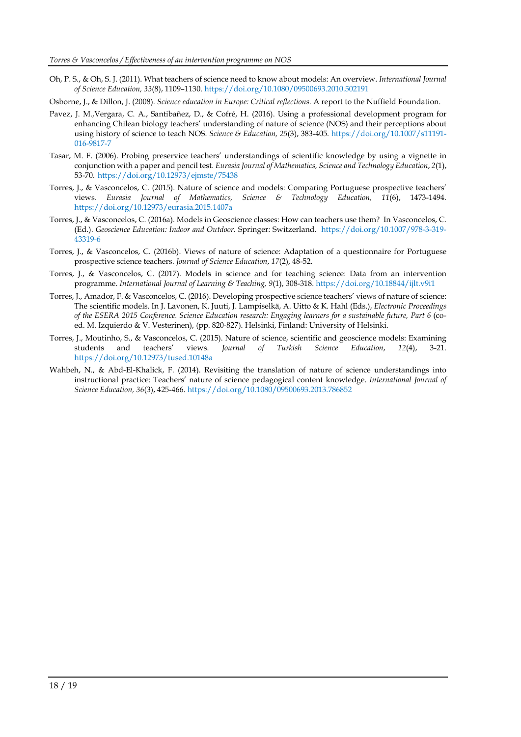- Oh, P. S., & Oh, S. J. (2011). What teachers of science need to know about models: An overview. *International Journal of Science Education, 33*(8), 1109–1130. <https://doi.org/10.1080/09500693.2010.502191>
- Osborne, J., & Dillon, J. (2008). *Science education in Europe: Critical reflections*. A report to the Nuffield Foundation.
- Pavez, J. M.,Vergara, C. A., Santibañez, D., & Cofré, H. (2016). Using a professional development program for enhancing Chilean biology teachers' understanding of nature of science (NOS) and their perceptions about using history of science to teach NOS. *Science & Education, 25*(3), 383-405. [https://doi.org/10.1007/s11191-](https://doi.org/10.1007/s11191-016-9817-7) [016-9817-7](https://doi.org/10.1007/s11191-016-9817-7)
- Tasar, M. F. (2006). Probing preservice teachers' understandings of scientific knowledge by using a vignette in conjunction with a paper and pencil test. *Eurasia Journal of Mathematics, Science and Technology Education*, *2*(1), 53-70. <https://doi.org/10.12973/ejmste/75438>
- Torres, J., & Vasconcelos, C. (2015). Nature of science and models: Comparing Portuguese prospective teachers' views. *Eurasia Journal of Mathematics, Science & Technology Education, 11*(6), 1473-1494. <https://doi.org/10.12973/eurasia.2015.1407a>
- Torres, J., & Vasconcelos, C. (2016a). Models in Geoscience classes: How can teachers use them? In Vasconcelos, C. (Ed.). *Geoscience Education: Indoor and Outdoor.* Springer: Switzerland. [https://doi.org/10.1007/978-3-319-](https://doi.org/10.1007/978-3-319-43319-6) [43319-6](https://doi.org/10.1007/978-3-319-43319-6)
- Torres, J., & Vasconcelos, C. (2016b). Views of nature of science: Adaptation of a questionnaire for Portuguese prospective science teachers. *Journal of Science Education*, *17*(2), 48-52.
- Torres, J., & Vasconcelos, C. (2017). Models in science and for teaching science: Data from an intervention programme. *International Journal of Learning & Teaching, 9*(1), 308-318.<https://doi.org/10.18844/ijlt.v9i1>
- Torres, J., Amador, F. & Vasconcelos, C. (2016). Developing prospective science teachers' views of nature of science: The scientific models. In J. Lavonen, K. Juuti, J. Lampiselkä, A. Uitto & K. Hahl (Eds.), *Electronic Proceedings of the ESERA 2015 Conference. Science Education research: Engaging learners for a sustainable future, Part 6* (coed. M. Izquierdo & V. Vesterinen), (pp. 820-827). Helsinki, Finland: University of Helsinki.
- Torres, J., Moutinho, S., & Vasconcelos, C. (2015). Nature of science, scientific and geoscience models: Examining students and teachers' views. *Journal of Turkish Science Education*, *12*(4), 3-21. <https://doi.org/10.12973/tused.10148a>
- Wahbeh, N., & Abd-El-Khalick, F. (2014). Revisiting the translation of nature of science understandings into instructional practice: Teachers' nature of science pedagogical content knowledge. *International Journal of Science Education, 36*(3), 425-466. <https://doi.org/10.1080/09500693.2013.786852>